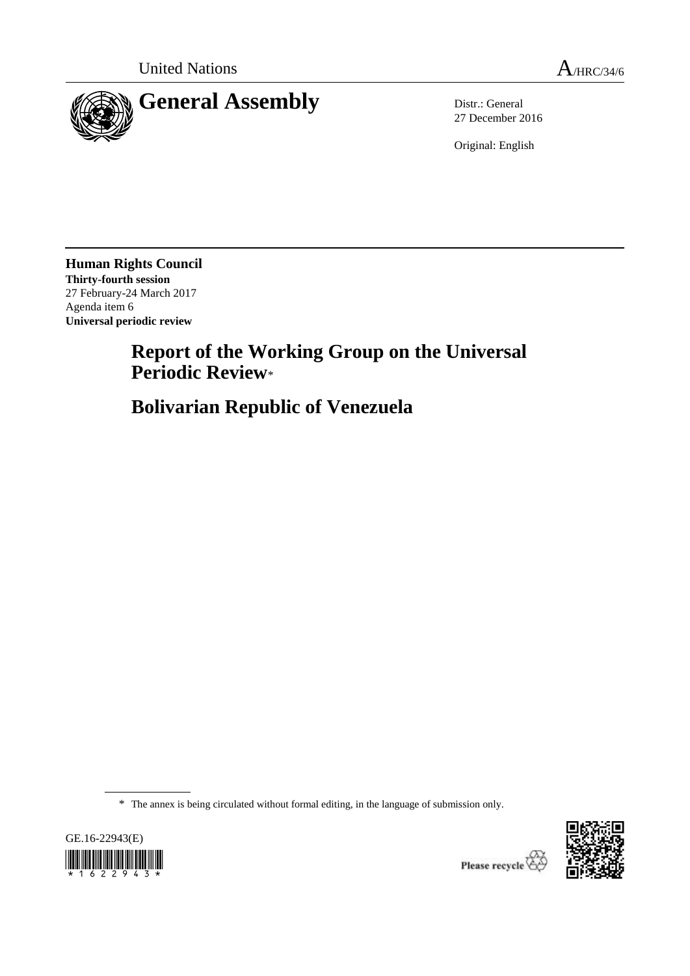

27 December 2016

Original: English

**Human Rights Council Thirty-fourth session** 27 February-24 March 2017 Agenda item 6 **Universal periodic review**

> **Report of the Working Group on the Universal Periodic Review**\*

**Bolivarian Republic of Venezuela**

\* The annex is being circulated without formal editing, in the language of submission only.





Please recycle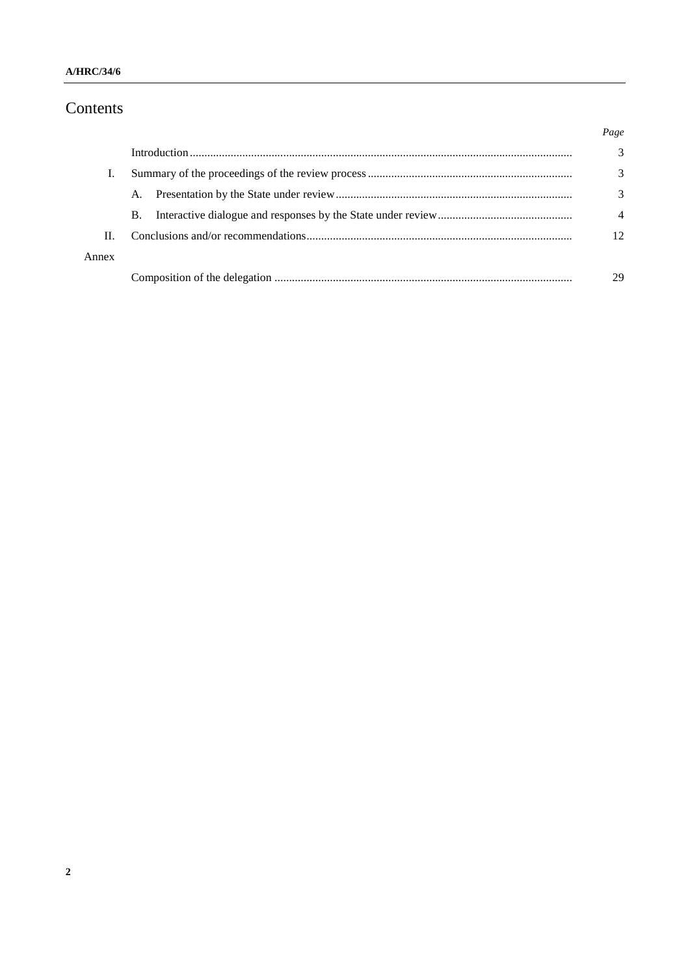# Contents

|       |           | Page |
|-------|-----------|------|
|       |           | 3    |
|       |           | 3    |
|       | A.        | 3    |
|       | <b>B.</b> |      |
| П.    |           | 12   |
| Annex |           |      |
|       |           | 29   |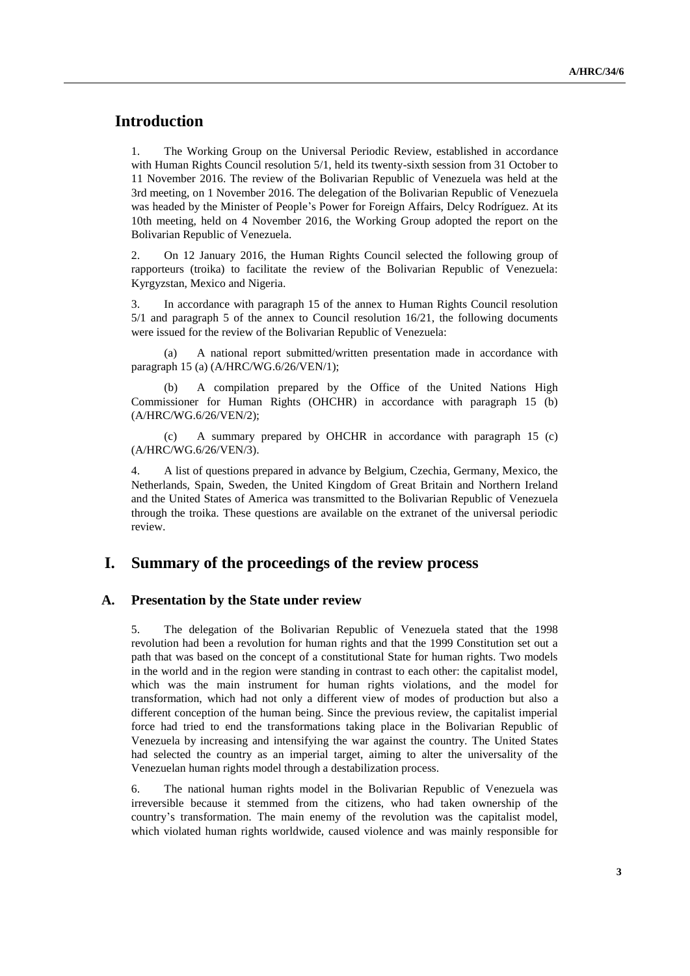# **Introduction**

1. The Working Group on the Universal Periodic Review, established in accordance with Human Rights Council resolution 5/1, held its twenty-sixth session from 31 October to 11 November 2016. The review of the Bolivarian Republic of Venezuela was held at the 3rd meeting, on 1 November 2016. The delegation of the Bolivarian Republic of Venezuela was headed by the Minister of People's Power for Foreign Affairs, Delcy Rodríguez. At its 10th meeting, held on 4 November 2016, the Working Group adopted the report on the Bolivarian Republic of Venezuela.

2. On 12 January 2016, the Human Rights Council selected the following group of rapporteurs (troika) to facilitate the review of the Bolivarian Republic of Venezuela: Kyrgyzstan, Mexico and Nigeria.

3. In accordance with paragraph 15 of the annex to Human Rights Council resolution 5/1 and paragraph 5 of the annex to Council resolution 16/21, the following documents were issued for the review of the Bolivarian Republic of Venezuela:

(a) A national report submitted/written presentation made in accordance with paragraph 15 (a) (A/HRC/WG.6/26/VEN/1);

A compilation prepared by the Office of the United Nations High Commissioner for Human Rights (OHCHR) in accordance with paragraph 15 (b) (A/HRC/WG.6/26/VEN/2);

(c) A summary prepared by OHCHR in accordance with paragraph 15 (c) (A/HRC/WG.6/26/VEN/3).

4. A list of questions prepared in advance by Belgium, Czechia, Germany, Mexico, the Netherlands, Spain, Sweden, the United Kingdom of Great Britain and Northern Ireland and the United States of America was transmitted to the Bolivarian Republic of Venezuela through the troika. These questions are available on the extranet of the universal periodic review.

## **I. Summary of the proceedings of the review process**

#### **A. Presentation by the State under review**

5. The delegation of the Bolivarian Republic of Venezuela stated that the 1998 revolution had been a revolution for human rights and that the 1999 Constitution set out a path that was based on the concept of a constitutional State for human rights. Two models in the world and in the region were standing in contrast to each other: the capitalist model, which was the main instrument for human rights violations, and the model for transformation, which had not only a different view of modes of production but also a different conception of the human being. Since the previous review, the capitalist imperial force had tried to end the transformations taking place in the Bolivarian Republic of Venezuela by increasing and intensifying the war against the country. The United States had selected the country as an imperial target, aiming to alter the universality of the Venezuelan human rights model through a destabilization process.

6. The national human rights model in the Bolivarian Republic of Venezuela was irreversible because it stemmed from the citizens, who had taken ownership of the country's transformation. The main enemy of the revolution was the capitalist model, which violated human rights worldwide, caused violence and was mainly responsible for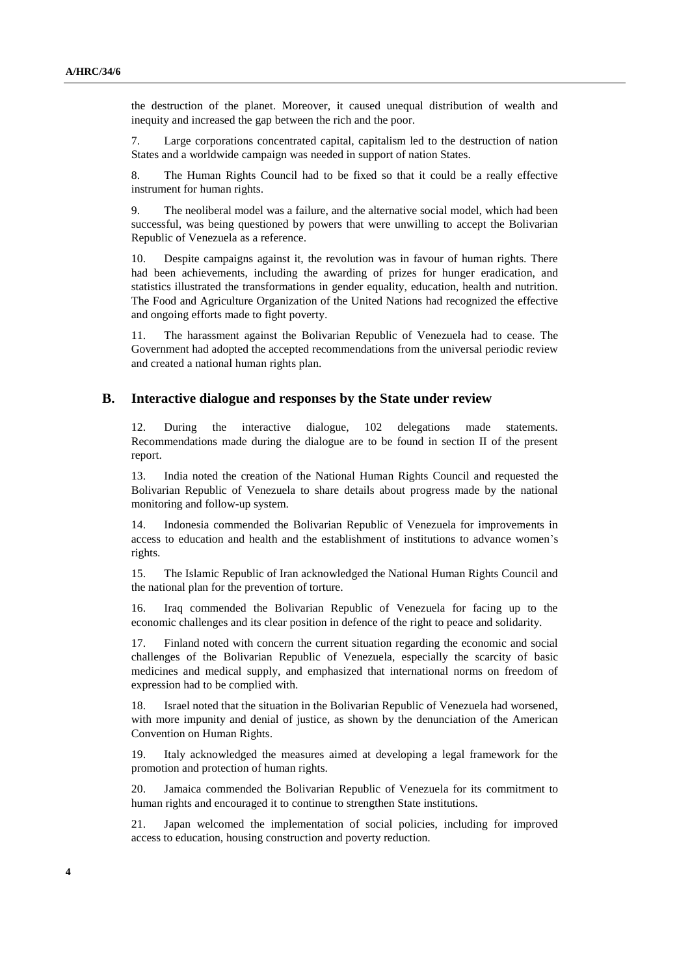the destruction of the planet. Moreover, it caused unequal distribution of wealth and inequity and increased the gap between the rich and the poor.

7. Large corporations concentrated capital, capitalism led to the destruction of nation States and a worldwide campaign was needed in support of nation States.

8. The Human Rights Council had to be fixed so that it could be a really effective instrument for human rights.

9. The neoliberal model was a failure, and the alternative social model, which had been successful, was being questioned by powers that were unwilling to accept the Bolivarian Republic of Venezuela as a reference.

10. Despite campaigns against it, the revolution was in favour of human rights. There had been achievements, including the awarding of prizes for hunger eradication, and statistics illustrated the transformations in gender equality, education, health and nutrition. The Food and Agriculture Organization of the United Nations had recognized the effective and ongoing efforts made to fight poverty.

11. The harassment against the Bolivarian Republic of Venezuela had to cease. The Government had adopted the accepted recommendations from the universal periodic review and created a national human rights plan.

#### **B. Interactive dialogue and responses by the State under review**

12. During the interactive dialogue, 102 delegations made statements. Recommendations made during the dialogue are to be found in section II of the present report.

13. India noted the creation of the National Human Rights Council and requested the Bolivarian Republic of Venezuela to share details about progress made by the national monitoring and follow-up system.

14. Indonesia commended the Bolivarian Republic of Venezuela for improvements in access to education and health and the establishment of institutions to advance women's rights.

15. The Islamic Republic of Iran acknowledged the National Human Rights Council and the national plan for the prevention of torture.

16. Iraq commended the Bolivarian Republic of Venezuela for facing up to the economic challenges and its clear position in defence of the right to peace and solidarity.

17. Finland noted with concern the current situation regarding the economic and social challenges of the Bolivarian Republic of Venezuela, especially the scarcity of basic medicines and medical supply, and emphasized that international norms on freedom of expression had to be complied with.

18. Israel noted that the situation in the Bolivarian Republic of Venezuela had worsened, with more impunity and denial of justice, as shown by the denunciation of the American Convention on Human Rights.

19. Italy acknowledged the measures aimed at developing a legal framework for the promotion and protection of human rights.

20. Jamaica commended the Bolivarian Republic of Venezuela for its commitment to human rights and encouraged it to continue to strengthen State institutions.

21. Japan welcomed the implementation of social policies, including for improved access to education, housing construction and poverty reduction.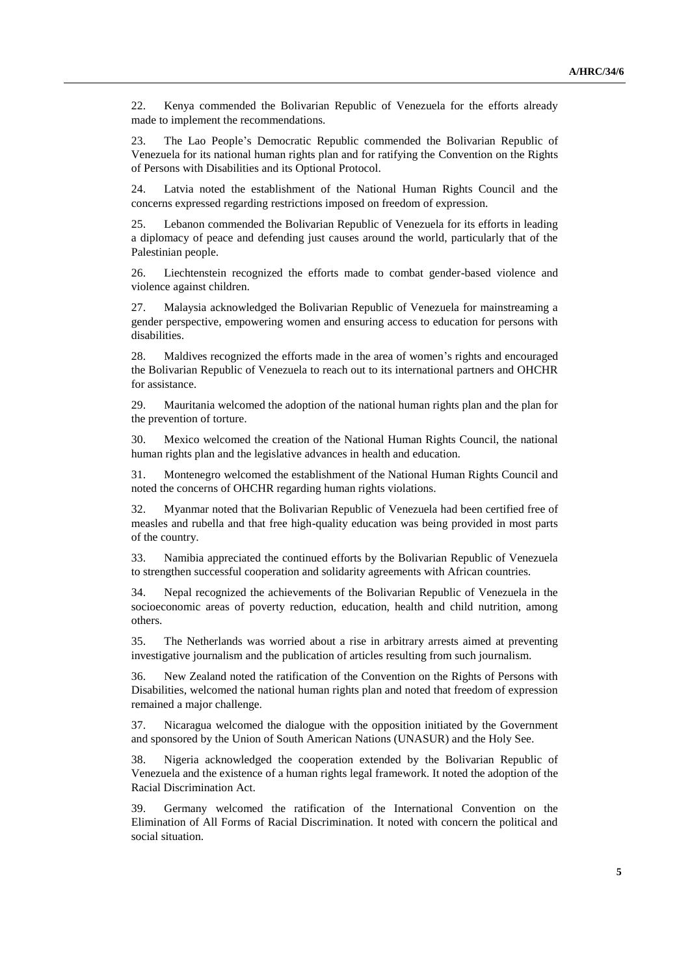22. Kenya commended the Bolivarian Republic of Venezuela for the efforts already made to implement the recommendations.

23. The Lao People's Democratic Republic commended the Bolivarian Republic of Venezuela for its national human rights plan and for ratifying the Convention on the Rights of Persons with Disabilities and its Optional Protocol.

24. Latvia noted the establishment of the National Human Rights Council and the concerns expressed regarding restrictions imposed on freedom of expression.

25. Lebanon commended the Bolivarian Republic of Venezuela for its efforts in leading a diplomacy of peace and defending just causes around the world, particularly that of the Palestinian people.

26. Liechtenstein recognized the efforts made to combat gender-based violence and violence against children.

27. Malaysia acknowledged the Bolivarian Republic of Venezuela for mainstreaming a gender perspective, empowering women and ensuring access to education for persons with disabilities.

28. Maldives recognized the efforts made in the area of women's rights and encouraged the Bolivarian Republic of Venezuela to reach out to its international partners and OHCHR for assistance.

29. Mauritania welcomed the adoption of the national human rights plan and the plan for the prevention of torture.

30. Mexico welcomed the creation of the National Human Rights Council, the national human rights plan and the legislative advances in health and education.

31. Montenegro welcomed the establishment of the National Human Rights Council and noted the concerns of OHCHR regarding human rights violations.

32. Myanmar noted that the Bolivarian Republic of Venezuela had been certified free of measles and rubella and that free high-quality education was being provided in most parts of the country.

33. Namibia appreciated the continued efforts by the Bolivarian Republic of Venezuela to strengthen successful cooperation and solidarity agreements with African countries.

34. Nepal recognized the achievements of the Bolivarian Republic of Venezuela in the socioeconomic areas of poverty reduction, education, health and child nutrition, among others.

35. The Netherlands was worried about a rise in arbitrary arrests aimed at preventing investigative journalism and the publication of articles resulting from such journalism.

36. New Zealand noted the ratification of the Convention on the Rights of Persons with Disabilities, welcomed the national human rights plan and noted that freedom of expression remained a major challenge.

37. Nicaragua welcomed the dialogue with the opposition initiated by the Government and sponsored by the Union of South American Nations (UNASUR) and the Holy See.

38. Nigeria acknowledged the cooperation extended by the Bolivarian Republic of Venezuela and the existence of a human rights legal framework. It noted the adoption of the Racial Discrimination Act.

39. Germany welcomed the ratification of the International Convention on the Elimination of All Forms of Racial Discrimination. It noted with concern the political and social situation.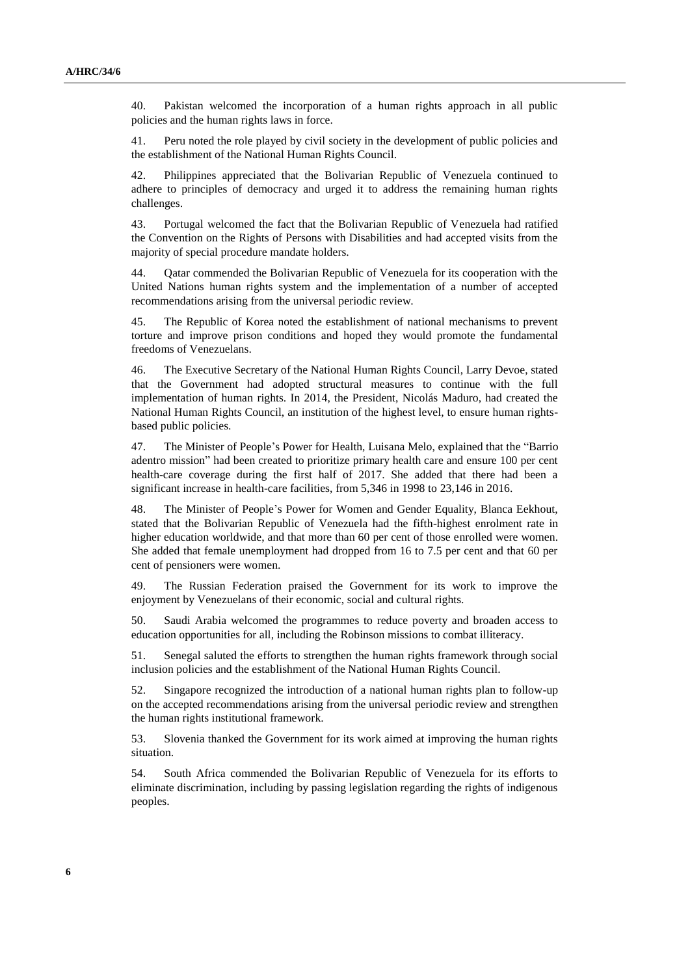40. Pakistan welcomed the incorporation of a human rights approach in all public policies and the human rights laws in force.

41. Peru noted the role played by civil society in the development of public policies and the establishment of the National Human Rights Council.

42. Philippines appreciated that the Bolivarian Republic of Venezuela continued to adhere to principles of democracy and urged it to address the remaining human rights challenges.

43. Portugal welcomed the fact that the Bolivarian Republic of Venezuela had ratified the Convention on the Rights of Persons with Disabilities and had accepted visits from the majority of special procedure mandate holders.

44. Qatar commended the Bolivarian Republic of Venezuela for its cooperation with the United Nations human rights system and the implementation of a number of accepted recommendations arising from the universal periodic review.

45. The Republic of Korea noted the establishment of national mechanisms to prevent torture and improve prison conditions and hoped they would promote the fundamental freedoms of Venezuelans.

46. The Executive Secretary of the National Human Rights Council, Larry Devoe, stated that the Government had adopted structural measures to continue with the full implementation of human rights. In 2014, the President, Nicolás Maduro, had created the National Human Rights Council, an institution of the highest level, to ensure human rightsbased public policies.

47. The Minister of People's Power for Health, Luisana Melo, explained that the "Barrio adentro mission" had been created to prioritize primary health care and ensure 100 per cent health-care coverage during the first half of 2017. She added that there had been a significant increase in health-care facilities, from 5,346 in 1998 to 23,146 in 2016.

48. The Minister of People's Power for Women and Gender Equality, Blanca Eekhout, stated that the Bolivarian Republic of Venezuela had the fifth-highest enrolment rate in higher education worldwide, and that more than 60 per cent of those enrolled were women. She added that female unemployment had dropped from 16 to 7.5 per cent and that 60 per cent of pensioners were women.

49. The Russian Federation praised the Government for its work to improve the enjoyment by Venezuelans of their economic, social and cultural rights.

50. Saudi Arabia welcomed the programmes to reduce poverty and broaden access to education opportunities for all, including the Robinson missions to combat illiteracy.

51. Senegal saluted the efforts to strengthen the human rights framework through social inclusion policies and the establishment of the National Human Rights Council.

52. Singapore recognized the introduction of a national human rights plan to follow-up on the accepted recommendations arising from the universal periodic review and strengthen the human rights institutional framework.

53. Slovenia thanked the Government for its work aimed at improving the human rights situation.

54. South Africa commended the Bolivarian Republic of Venezuela for its efforts to eliminate discrimination, including by passing legislation regarding the rights of indigenous peoples.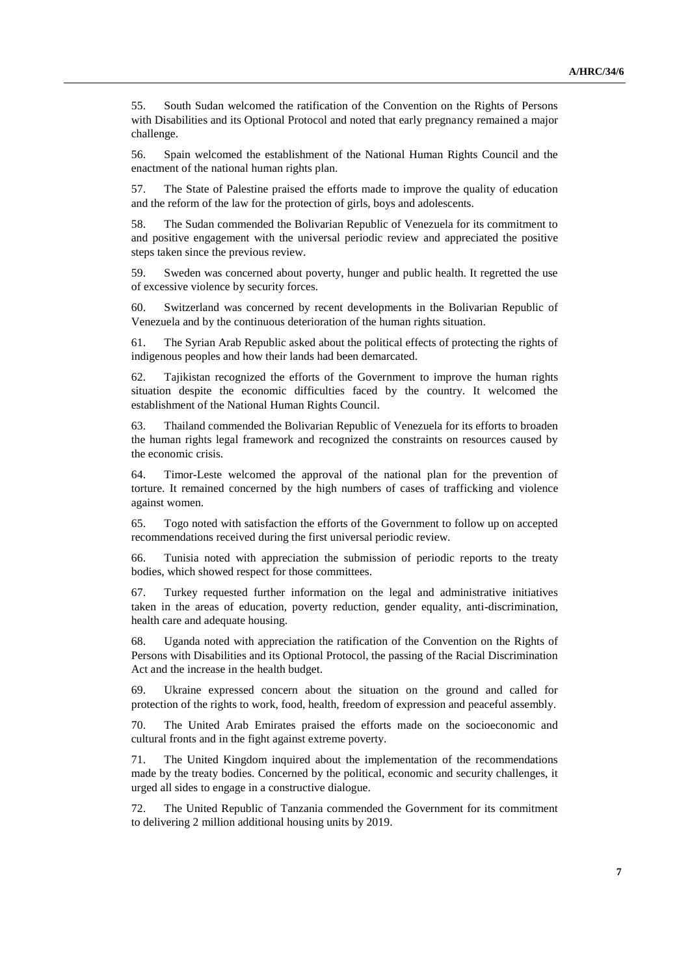55. South Sudan welcomed the ratification of the Convention on the Rights of Persons with Disabilities and its Optional Protocol and noted that early pregnancy remained a major challenge.

56. Spain welcomed the establishment of the National Human Rights Council and the enactment of the national human rights plan.

57. The State of Palestine praised the efforts made to improve the quality of education and the reform of the law for the protection of girls, boys and adolescents.

58. The Sudan commended the Bolivarian Republic of Venezuela for its commitment to and positive engagement with the universal periodic review and appreciated the positive steps taken since the previous review.

59. Sweden was concerned about poverty, hunger and public health. It regretted the use of excessive violence by security forces.

60. Switzerland was concerned by recent developments in the Bolivarian Republic of Venezuela and by the continuous deterioration of the human rights situation.

61. The Syrian Arab Republic asked about the political effects of protecting the rights of indigenous peoples and how their lands had been demarcated.

62. Tajikistan recognized the efforts of the Government to improve the human rights situation despite the economic difficulties faced by the country. It welcomed the establishment of the National Human Rights Council.

63. Thailand commended the Bolivarian Republic of Venezuela for its efforts to broaden the human rights legal framework and recognized the constraints on resources caused by the economic crisis.

64. Timor-Leste welcomed the approval of the national plan for the prevention of torture. It remained concerned by the high numbers of cases of trafficking and violence against women.

65. Togo noted with satisfaction the efforts of the Government to follow up on accepted recommendations received during the first universal periodic review.

66. Tunisia noted with appreciation the submission of periodic reports to the treaty bodies, which showed respect for those committees.

67. Turkey requested further information on the legal and administrative initiatives taken in the areas of education, poverty reduction, gender equality, anti-discrimination, health care and adequate housing.

68. Uganda noted with appreciation the ratification of the Convention on the Rights of Persons with Disabilities and its Optional Protocol, the passing of the Racial Discrimination Act and the increase in the health budget.

69. Ukraine expressed concern about the situation on the ground and called for protection of the rights to work, food, health, freedom of expression and peaceful assembly.

70. The United Arab Emirates praised the efforts made on the socioeconomic and cultural fronts and in the fight against extreme poverty.

71. The United Kingdom inquired about the implementation of the recommendations made by the treaty bodies. Concerned by the political, economic and security challenges, it urged all sides to engage in a constructive dialogue.

72. The United Republic of Tanzania commended the Government for its commitment to delivering 2 million additional housing units by 2019.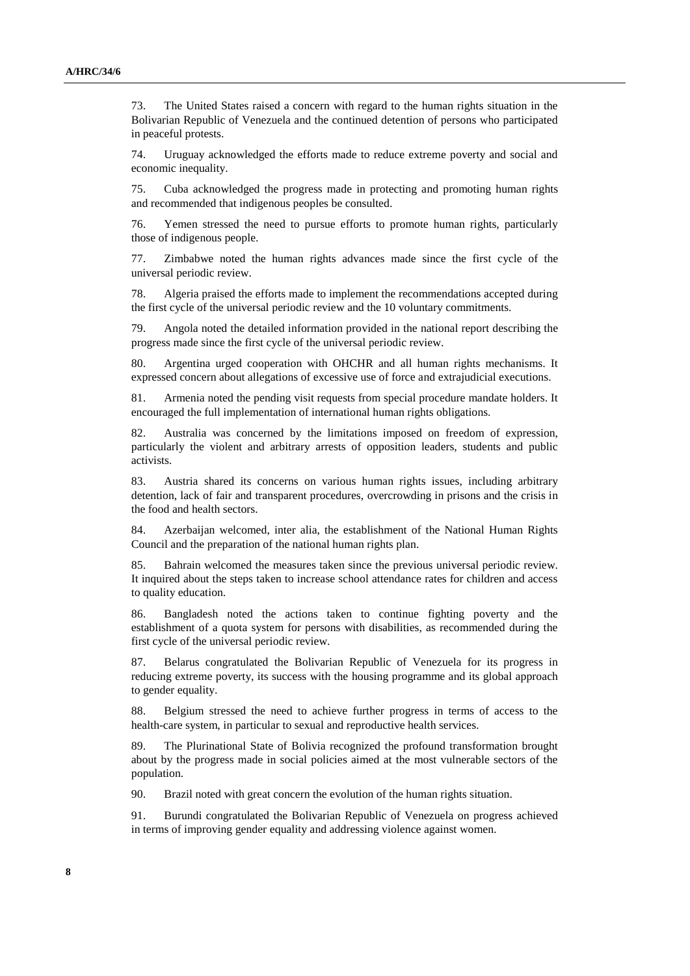73. The United States raised a concern with regard to the human rights situation in the Bolivarian Republic of Venezuela and the continued detention of persons who participated in peaceful protests.

74. Uruguay acknowledged the efforts made to reduce extreme poverty and social and economic inequality.

75. Cuba acknowledged the progress made in protecting and promoting human rights and recommended that indigenous peoples be consulted.

76. Yemen stressed the need to pursue efforts to promote human rights, particularly those of indigenous people.

77. Zimbabwe noted the human rights advances made since the first cycle of the universal periodic review.

78. Algeria praised the efforts made to implement the recommendations accepted during the first cycle of the universal periodic review and the 10 voluntary commitments.

79. Angola noted the detailed information provided in the national report describing the progress made since the first cycle of the universal periodic review.

80. Argentina urged cooperation with OHCHR and all human rights mechanisms. It expressed concern about allegations of excessive use of force and extrajudicial executions.

81. Armenia noted the pending visit requests from special procedure mandate holders. It encouraged the full implementation of international human rights obligations.

82. Australia was concerned by the limitations imposed on freedom of expression, particularly the violent and arbitrary arrests of opposition leaders, students and public activists.

83. Austria shared its concerns on various human rights issues, including arbitrary detention, lack of fair and transparent procedures, overcrowding in prisons and the crisis in the food and health sectors.

84. Azerbaijan welcomed, inter alia, the establishment of the National Human Rights Council and the preparation of the national human rights plan.

85. Bahrain welcomed the measures taken since the previous universal periodic review. It inquired about the steps taken to increase school attendance rates for children and access to quality education.

86. Bangladesh noted the actions taken to continue fighting poverty and the establishment of a quota system for persons with disabilities, as recommended during the first cycle of the universal periodic review.

87. Belarus congratulated the Bolivarian Republic of Venezuela for its progress in reducing extreme poverty, its success with the housing programme and its global approach to gender equality.

88. Belgium stressed the need to achieve further progress in terms of access to the health-care system, in particular to sexual and reproductive health services.

89. The Plurinational State of Bolivia recognized the profound transformation brought about by the progress made in social policies aimed at the most vulnerable sectors of the population.

90. Brazil noted with great concern the evolution of the human rights situation.

91. Burundi congratulated the Bolivarian Republic of Venezuela on progress achieved in terms of improving gender equality and addressing violence against women.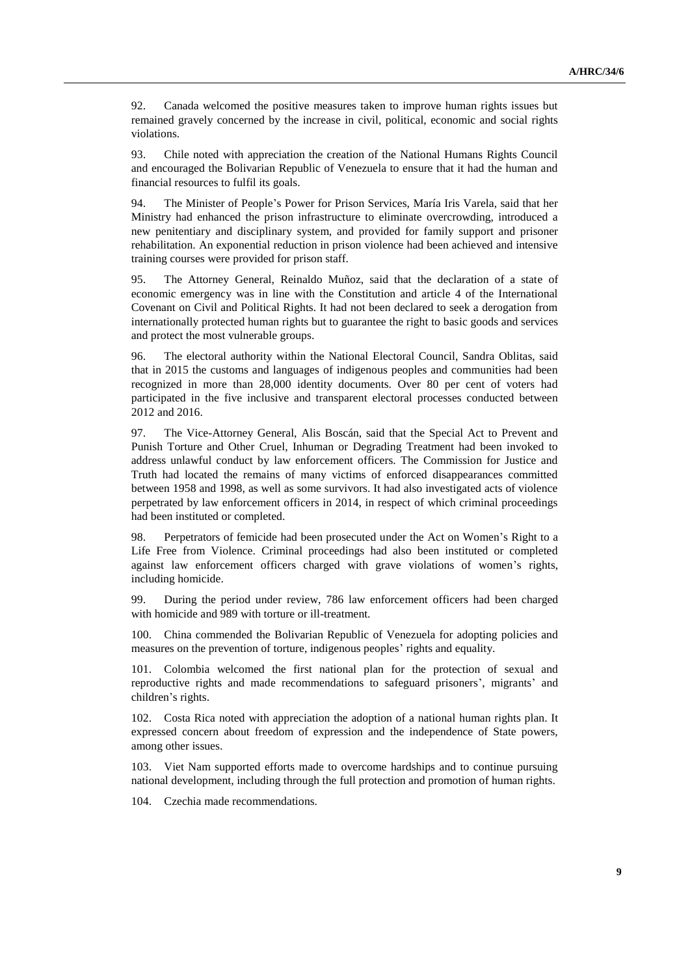92. Canada welcomed the positive measures taken to improve human rights issues but remained gravely concerned by the increase in civil, political, economic and social rights violations.

93. Chile noted with appreciation the creation of the National Humans Rights Council and encouraged the Bolivarian Republic of Venezuela to ensure that it had the human and financial resources to fulfil its goals.

94. The Minister of People's Power for Prison Services, María Iris Varela, said that her Ministry had enhanced the prison infrastructure to eliminate overcrowding, introduced a new penitentiary and disciplinary system, and provided for family support and prisoner rehabilitation. An exponential reduction in prison violence had been achieved and intensive training courses were provided for prison staff.

95. The Attorney General, Reinaldo Muñoz, said that the declaration of a state of economic emergency was in line with the Constitution and article 4 of the International Covenant on Civil and Political Rights. It had not been declared to seek a derogation from internationally protected human rights but to guarantee the right to basic goods and services and protect the most vulnerable groups.

96. The electoral authority within the National Electoral Council, Sandra Oblitas, said that in 2015 the customs and languages of indigenous peoples and communities had been recognized in more than 28,000 identity documents. Over 80 per cent of voters had participated in the five inclusive and transparent electoral processes conducted between 2012 and 2016.

97. The Vice-Attorney General, Alis Boscán, said that the Special Act to Prevent and Punish Torture and Other Cruel, Inhuman or Degrading Treatment had been invoked to address unlawful conduct by law enforcement officers. The Commission for Justice and Truth had located the remains of many victims of enforced disappearances committed between 1958 and 1998, as well as some survivors. It had also investigated acts of violence perpetrated by law enforcement officers in 2014, in respect of which criminal proceedings had been instituted or completed.

98. Perpetrators of femicide had been prosecuted under the Act on Women's Right to a Life Free from Violence. Criminal proceedings had also been instituted or completed against law enforcement officers charged with grave violations of women's rights, including homicide.

99. During the period under review, 786 law enforcement officers had been charged with homicide and 989 with torture or ill-treatment.

100. China commended the Bolivarian Republic of Venezuela for adopting policies and measures on the prevention of torture, indigenous peoples' rights and equality.

101. Colombia welcomed the first national plan for the protection of sexual and reproductive rights and made recommendations to safeguard prisoners', migrants' and children's rights.

102. Costa Rica noted with appreciation the adoption of a national human rights plan. It expressed concern about freedom of expression and the independence of State powers, among other issues.

103. Viet Nam supported efforts made to overcome hardships and to continue pursuing national development, including through the full protection and promotion of human rights.

104. Czechia made recommendations.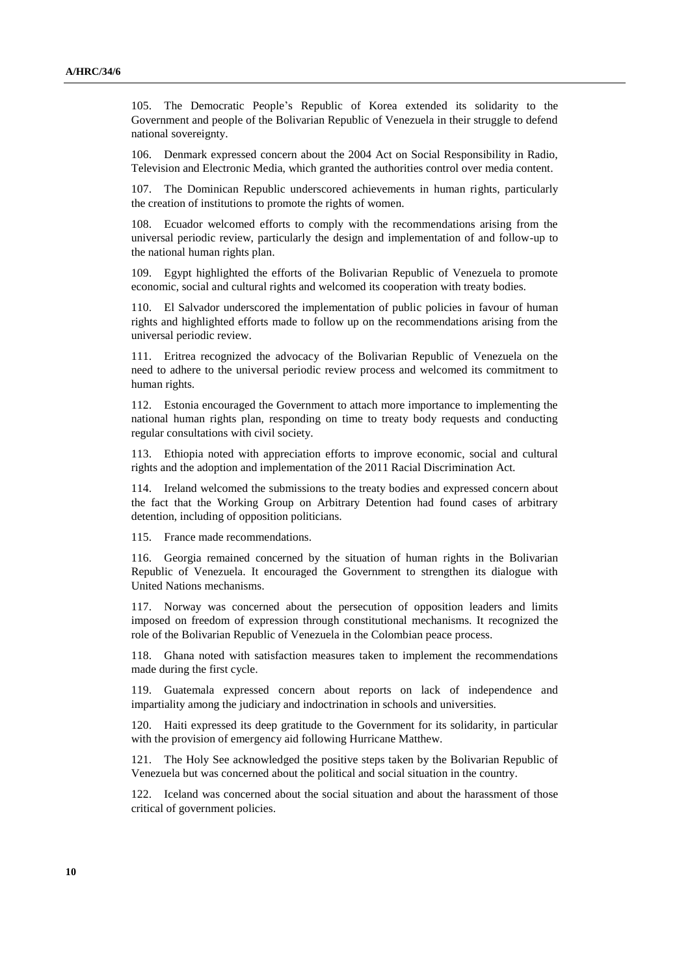105. The Democratic People's Republic of Korea extended its solidarity to the Government and people of the Bolivarian Republic of Venezuela in their struggle to defend national sovereignty.

106. Denmark expressed concern about the 2004 Act on Social Responsibility in Radio, Television and Electronic Media, which granted the authorities control over media content.

107. The Dominican Republic underscored achievements in human rights, particularly the creation of institutions to promote the rights of women.

108. Ecuador welcomed efforts to comply with the recommendations arising from the universal periodic review, particularly the design and implementation of and follow-up to the national human rights plan.

109. Egypt highlighted the efforts of the Bolivarian Republic of Venezuela to promote economic, social and cultural rights and welcomed its cooperation with treaty bodies.

110. El Salvador underscored the implementation of public policies in favour of human rights and highlighted efforts made to follow up on the recommendations arising from the universal periodic review.

111. Eritrea recognized the advocacy of the Bolivarian Republic of Venezuela on the need to adhere to the universal periodic review process and welcomed its commitment to human rights.

112. Estonia encouraged the Government to attach more importance to implementing the national human rights plan, responding on time to treaty body requests and conducting regular consultations with civil society.

113. Ethiopia noted with appreciation efforts to improve economic, social and cultural rights and the adoption and implementation of the 2011 Racial Discrimination Act.

114. Ireland welcomed the submissions to the treaty bodies and expressed concern about the fact that the Working Group on Arbitrary Detention had found cases of arbitrary detention, including of opposition politicians.

115. France made recommendations.

116. Georgia remained concerned by the situation of human rights in the Bolivarian Republic of Venezuela. It encouraged the Government to strengthen its dialogue with United Nations mechanisms.

117. Norway was concerned about the persecution of opposition leaders and limits imposed on freedom of expression through constitutional mechanisms. It recognized the role of the Bolivarian Republic of Venezuela in the Colombian peace process.

118. Ghana noted with satisfaction measures taken to implement the recommendations made during the first cycle.

119. Guatemala expressed concern about reports on lack of independence and impartiality among the judiciary and indoctrination in schools and universities.

120. Haiti expressed its deep gratitude to the Government for its solidarity, in particular with the provision of emergency aid following Hurricane Matthew.

121. The Holy See acknowledged the positive steps taken by the Bolivarian Republic of Venezuela but was concerned about the political and social situation in the country.

122. Iceland was concerned about the social situation and about the harassment of those critical of government policies.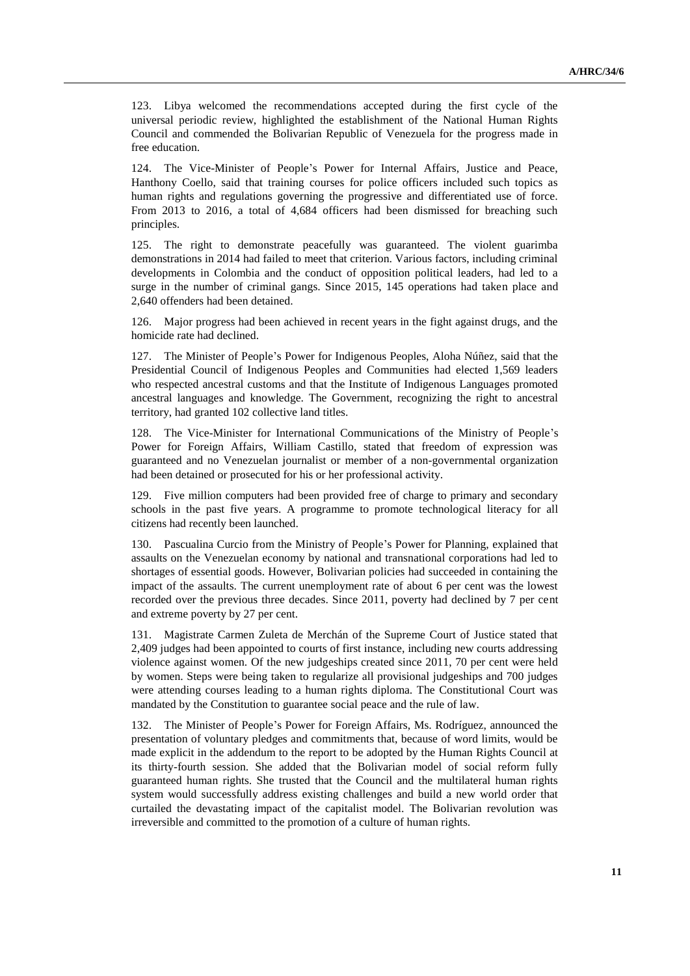123. Libya welcomed the recommendations accepted during the first cycle of the universal periodic review, highlighted the establishment of the National Human Rights Council and commended the Bolivarian Republic of Venezuela for the progress made in free education.

124. The Vice-Minister of People's Power for Internal Affairs, Justice and Peace, Hanthony Coello, said that training courses for police officers included such topics as human rights and regulations governing the progressive and differentiated use of force. From 2013 to 2016, a total of 4,684 officers had been dismissed for breaching such principles.

125. The right to demonstrate peacefully was guaranteed. The violent guarimba demonstrations in 2014 had failed to meet that criterion. Various factors, including criminal developments in Colombia and the conduct of opposition political leaders, had led to a surge in the number of criminal gangs. Since 2015, 145 operations had taken place and 2,640 offenders had been detained.

126. Major progress had been achieved in recent years in the fight against drugs, and the homicide rate had declined.

127. The Minister of People's Power for Indigenous Peoples, Aloha Núñez, said that the Presidential Council of Indigenous Peoples and Communities had elected 1,569 leaders who respected ancestral customs and that the Institute of Indigenous Languages promoted ancestral languages and knowledge. The Government, recognizing the right to ancestral territory, had granted 102 collective land titles.

128. The Vice-Minister for International Communications of the Ministry of People's Power for Foreign Affairs, William Castillo, stated that freedom of expression was guaranteed and no Venezuelan journalist or member of a non-governmental organization had been detained or prosecuted for his or her professional activity.

129. Five million computers had been provided free of charge to primary and secondary schools in the past five years. A programme to promote technological literacy for all citizens had recently been launched.

130. Pascualina Curcio from the Ministry of People's Power for Planning, explained that assaults on the Venezuelan economy by national and transnational corporations had led to shortages of essential goods. However, Bolivarian policies had succeeded in containing the impact of the assaults. The current unemployment rate of about 6 per cent was the lowest recorded over the previous three decades. Since 2011, poverty had declined by 7 per cent and extreme poverty by 27 per cent.

131. Magistrate Carmen Zuleta de Merchán of the Supreme Court of Justice stated that 2,409 judges had been appointed to courts of first instance, including new courts addressing violence against women. Of the new judgeships created since 2011, 70 per cent were held by women. Steps were being taken to regularize all provisional judgeships and 700 judges were attending courses leading to a human rights diploma. The Constitutional Court was mandated by the Constitution to guarantee social peace and the rule of law.

The Minister of People's Power for Foreign Affairs, Ms. Rodríguez, announced the presentation of voluntary pledges and commitments that, because of word limits, would be made explicit in the addendum to the report to be adopted by the Human Rights Council at its thirty-fourth session. She added that the Bolivarian model of social reform fully guaranteed human rights. She trusted that the Council and the multilateral human rights system would successfully address existing challenges and build a new world order that curtailed the devastating impact of the capitalist model. The Bolivarian revolution was irreversible and committed to the promotion of a culture of human rights.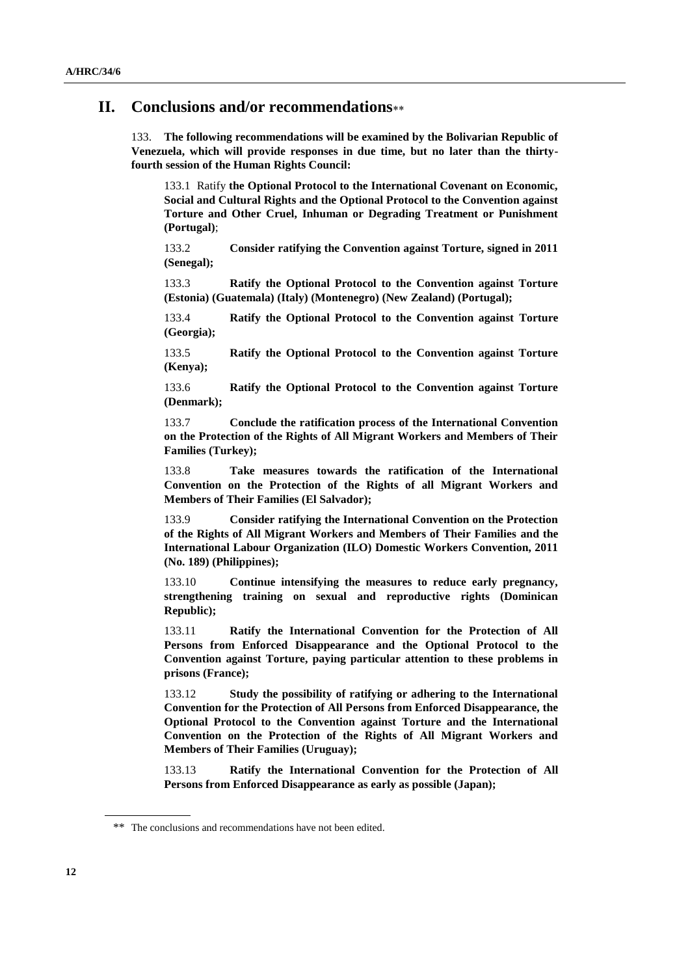### **II. Conclusions and/or recommendations**

133. **The following recommendations will be examined by the Bolivarian Republic of Venezuela, which will provide responses in due time, but no later than the thirtyfourth session of the Human Rights Council:**

133.1 Ratify **the Optional Protocol to the International Covenant on Economic, Social and Cultural Rights and the Optional Protocol to the Convention against Torture and Other Cruel, Inhuman or Degrading Treatment or Punishment (Portugal)**;

133.2 **Consider ratifying the Convention against Torture, signed in 2011 (Senegal);**

133.3 **Ratify the Optional Protocol to the Convention against Torture (Estonia) (Guatemala) (Italy) (Montenegro) (New Zealand) (Portugal);**

133.4 **Ratify the Optional Protocol to the Convention against Torture (Georgia);**

133.5 **Ratify the Optional Protocol to the Convention against Torture (Kenya);**

133.6 **Ratify the Optional Protocol to the Convention against Torture (Denmark);**

133.7 **Conclude the ratification process of the International Convention on the Protection of the Rights of All Migrant Workers and Members of Their Families (Turkey);**

133.8 **Take measures towards the ratification of the International Convention on the Protection of the Rights of all Migrant Workers and Members of Their Families (El Salvador);**

133.9 **Consider ratifying the International Convention on the Protection of the Rights of All Migrant Workers and Members of Their Families and the International Labour Organization (ILO) Domestic Workers Convention, 2011 (No. 189) (Philippines);**

133.10 **Continue intensifying the measures to reduce early pregnancy, strengthening training on sexual and reproductive rights (Dominican Republic);**

133.11 **Ratify the International Convention for the Protection of All Persons from Enforced Disappearance and the Optional Protocol to the Convention against Torture, paying particular attention to these problems in prisons (France);**

133.12 **Study the possibility of ratifying or adhering to the International Convention for the Protection of All Persons from Enforced Disappearance, the Optional Protocol to the Convention against Torture and the International Convention on the Protection of the Rights of All Migrant Workers and Members of Their Families (Uruguay);**

133.13 **Ratify the International Convention for the Protection of All Persons from Enforced Disappearance as early as possible (Japan);**

<sup>\*\*</sup> The conclusions and recommendations have not been edited.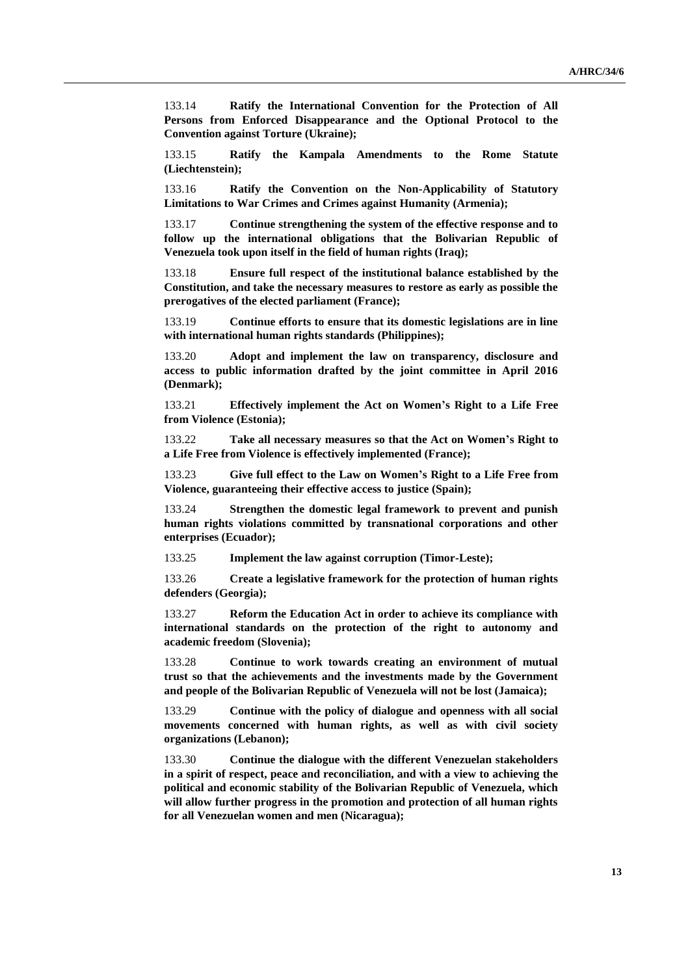133.14 **Ratify the International Convention for the Protection of All Persons from Enforced Disappearance and the Optional Protocol to the Convention against Torture (Ukraine);**

133.15 **Ratify the Kampala Amendments to the Rome Statute (Liechtenstein);**

133.16 **Ratify the Convention on the Non-Applicability of Statutory Limitations to War Crimes and Crimes against Humanity (Armenia);**

133.17 **Continue strengthening the system of the effective response and to follow up the international obligations that the Bolivarian Republic of Venezuela took upon itself in the field of human rights (Iraq);**

133.18 **Ensure full respect of the institutional balance established by the Constitution, and take the necessary measures to restore as early as possible the prerogatives of the elected parliament (France);**

133.19 **Continue efforts to ensure that its domestic legislations are in line with international human rights standards (Philippines);**

133.20 **Adopt and implement the law on transparency, disclosure and access to public information drafted by the joint committee in April 2016 (Denmark);**

133.21 **Effectively implement the Act on Women's Right to a Life Free from Violence (Estonia);**

133.22 **Take all necessary measures so that the Act on Women's Right to a Life Free from Violence is effectively implemented (France);**

133.23 **Give full effect to the Law on Women's Right to a Life Free from Violence, guaranteeing their effective access to justice (Spain);**

133.24 **Strengthen the domestic legal framework to prevent and punish human rights violations committed by transnational corporations and other enterprises (Ecuador);**

133.25 **Implement the law against corruption (Timor-Leste);**

133.26 **Create a legislative framework for the protection of human rights defenders (Georgia);**

133.27 **Reform the Education Act in order to achieve its compliance with international standards on the protection of the right to autonomy and academic freedom (Slovenia);**

133.28 **Continue to work towards creating an environment of mutual trust so that the achievements and the investments made by the Government and people of the Bolivarian Republic of Venezuela will not be lost (Jamaica);**

133.29 **Continue with the policy of dialogue and openness with all social movements concerned with human rights, as well as with civil society organizations (Lebanon);**

133.30 **Continue the dialogue with the different Venezuelan stakeholders in a spirit of respect, peace and reconciliation, and with a view to achieving the political and economic stability of the Bolivarian Republic of Venezuela, which will allow further progress in the promotion and protection of all human rights for all Venezuelan women and men (Nicaragua);**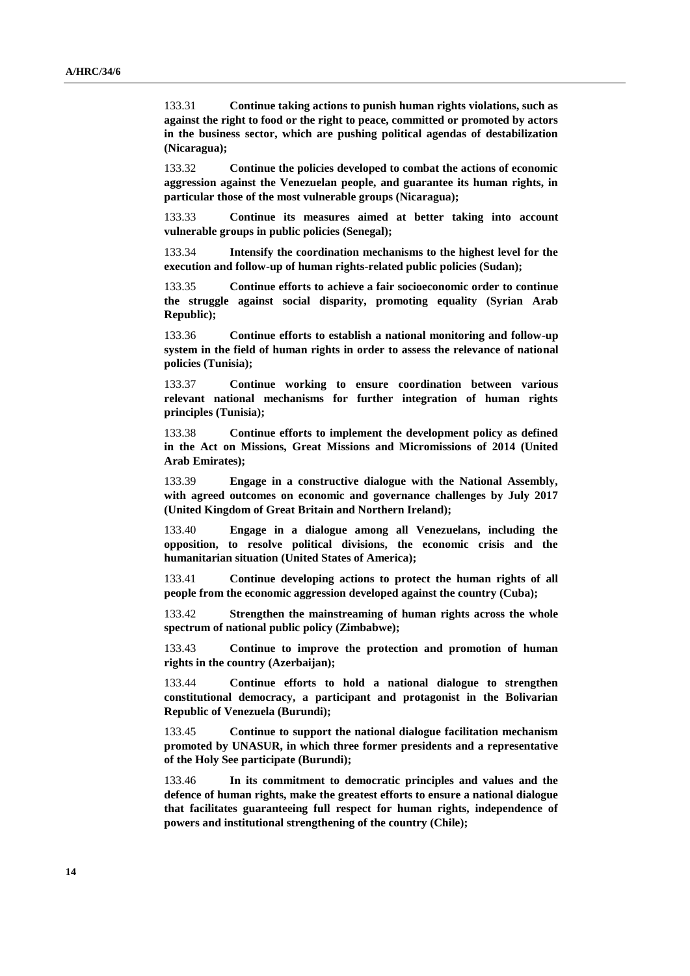133.31 **Continue taking actions to punish human rights violations, such as against the right to food or the right to peace, committed or promoted by actors in the business sector, which are pushing political agendas of destabilization (Nicaragua);**

133.32 **Continue the policies developed to combat the actions of economic aggression against the Venezuelan people, and guarantee its human rights, in particular those of the most vulnerable groups (Nicaragua);**

133.33 **Continue its measures aimed at better taking into account vulnerable groups in public policies (Senegal);**

133.34 **Intensify the coordination mechanisms to the highest level for the execution and follow-up of human rights-related public policies (Sudan);**

133.35 **Continue efforts to achieve a fair socioeconomic order to continue the struggle against social disparity, promoting equality (Syrian Arab Republic);**

133.36 **Continue efforts to establish a national monitoring and follow-up system in the field of human rights in order to assess the relevance of national policies (Tunisia);**

133.37 **Continue working to ensure coordination between various relevant national mechanisms for further integration of human rights principles (Tunisia);**

133.38 **Continue efforts to implement the development policy as defined in the Act on Missions, Great Missions and Micromissions of 2014 (United Arab Emirates);**

133.39 **Engage in a constructive dialogue with the National Assembly, with agreed outcomes on economic and governance challenges by July 2017 (United Kingdom of Great Britain and Northern Ireland);**

133.40 **Engage in a dialogue among all Venezuelans, including the opposition, to resolve political divisions, the economic crisis and the humanitarian situation (United States of America);**

133.41 **Continue developing actions to protect the human rights of all people from the economic aggression developed against the country (Cuba);**

133.42 **Strengthen the mainstreaming of human rights across the whole spectrum of national public policy (Zimbabwe);**

133.43 **Continue to improve the protection and promotion of human rights in the country (Azerbaijan);**

133.44 **Continue efforts to hold a national dialogue to strengthen constitutional democracy, a participant and protagonist in the Bolivarian Republic of Venezuela (Burundi);**

133.45 **Continue to support the national dialogue facilitation mechanism promoted by UNASUR, in which three former presidents and a representative of the Holy See participate (Burundi);**

133.46 **In its commitment to democratic principles and values and the defence of human rights, make the greatest efforts to ensure a national dialogue that facilitates guaranteeing full respect for human rights, independence of powers and institutional strengthening of the country (Chile);**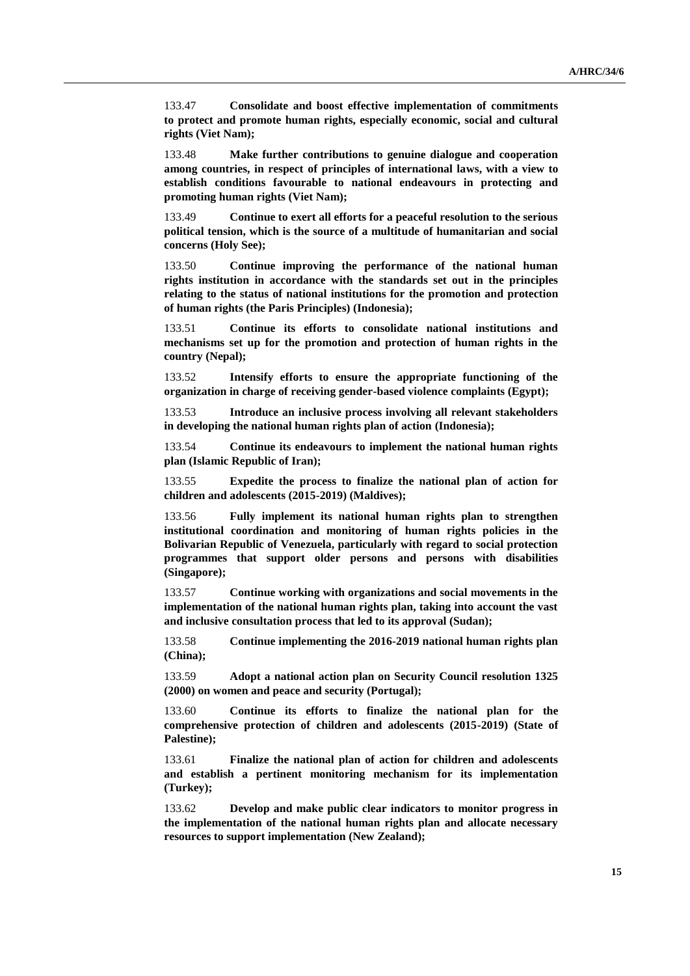133.47 **Consolidate and boost effective implementation of commitments to protect and promote human rights, especially economic, social and cultural rights (Viet Nam);**

133.48 **Make further contributions to genuine dialogue and cooperation among countries, in respect of principles of international laws, with a view to establish conditions favourable to national endeavours in protecting and promoting human rights (Viet Nam);**

133.49 **Continue to exert all efforts for a peaceful resolution to the serious political tension, which is the source of a multitude of humanitarian and social concerns (Holy See);**

133.50 **Continue improving the performance of the national human rights institution in accordance with the standards set out in the principles relating to the status of national institutions for the promotion and protection of human rights (the Paris Principles) (Indonesia);**

133.51 **Continue its efforts to consolidate national institutions and mechanisms set up for the promotion and protection of human rights in the country (Nepal);**

133.52 **Intensify efforts to ensure the appropriate functioning of the organization in charge of receiving gender-based violence complaints (Egypt);**

133.53 **Introduce an inclusive process involving all relevant stakeholders in developing the national human rights plan of action (Indonesia);**

133.54 **Continue its endeavours to implement the national human rights plan (Islamic Republic of Iran);**

133.55 **Expedite the process to finalize the national plan of action for children and adolescents (2015-2019) (Maldives);**

133.56 **Fully implement its national human rights plan to strengthen institutional coordination and monitoring of human rights policies in the Bolivarian Republic of Venezuela, particularly with regard to social protection programmes that support older persons and persons with disabilities (Singapore);**

133.57 **Continue working with organizations and social movements in the implementation of the national human rights plan, taking into account the vast and inclusive consultation process that led to its approval (Sudan);**

133.58 **Continue implementing the 2016-2019 national human rights plan (China);**

133.59 **Adopt a national action plan on Security Council resolution 1325 (2000) on women and peace and security (Portugal);**

133.60 **Continue its efforts to finalize the national plan for the comprehensive protection of children and adolescents (2015-2019) (State of Palestine);**

133.61 **Finalize the national plan of action for children and adolescents and establish a pertinent monitoring mechanism for its implementation (Turkey);**

133.62 **Develop and make public clear indicators to monitor progress in the implementation of the national human rights plan and allocate necessary resources to support implementation (New Zealand);**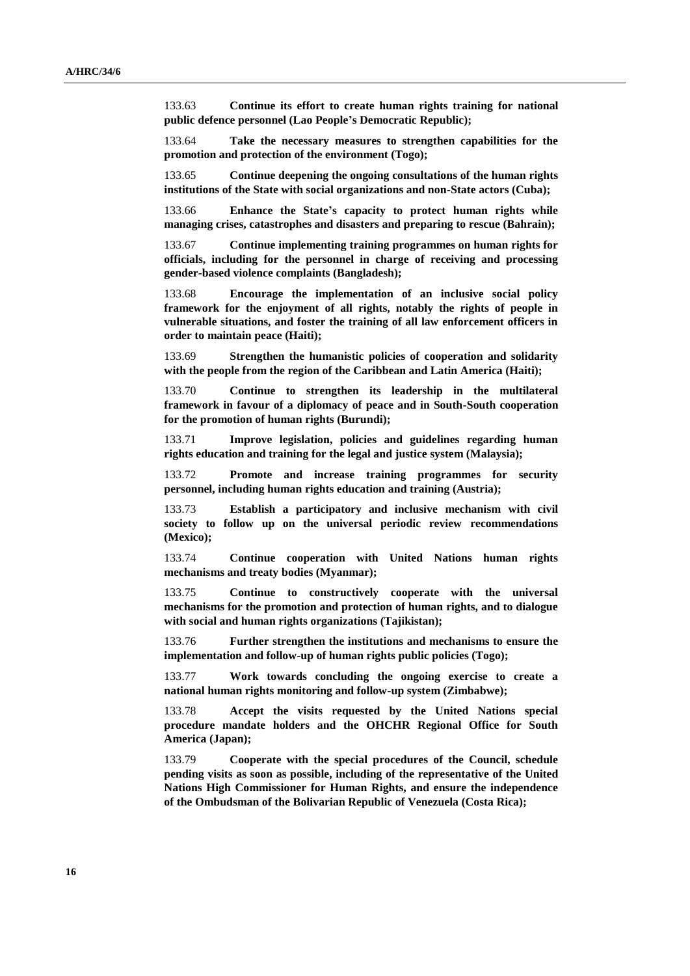133.63 **Continue its effort to create human rights training for national public defence personnel (Lao People's Democratic Republic);**

133.64 **Take the necessary measures to strengthen capabilities for the promotion and protection of the environment (Togo);**

133.65 **Continue deepening the ongoing consultations of the human rights institutions of the State with social organizations and non-State actors (Cuba);**

133.66 **Enhance the State's capacity to protect human rights while managing crises, catastrophes and disasters and preparing to rescue (Bahrain);**

133.67 **Continue implementing training programmes on human rights for officials, including for the personnel in charge of receiving and processing gender-based violence complaints (Bangladesh);**

133.68 **Encourage the implementation of an inclusive social policy framework for the enjoyment of all rights, notably the rights of people in vulnerable situations, and foster the training of all law enforcement officers in order to maintain peace (Haiti);**

133.69 **Strengthen the humanistic policies of cooperation and solidarity with the people from the region of the Caribbean and Latin America (Haiti);**

133.70 **Continue to strengthen its leadership in the multilateral framework in favour of a diplomacy of peace and in South-South cooperation for the promotion of human rights (Burundi);**

133.71 **Improve legislation, policies and guidelines regarding human rights education and training for the legal and justice system (Malaysia);**

133.72 **Promote and increase training programmes for security personnel, including human rights education and training (Austria);**

133.73 **Establish a participatory and inclusive mechanism with civil society to follow up on the universal periodic review recommendations (Mexico);**

133.74 **Continue cooperation with United Nations human rights mechanisms and treaty bodies (Myanmar);**

133.75 **Continue to constructively cooperate with the universal mechanisms for the promotion and protection of human rights, and to dialogue with social and human rights organizations (Tajikistan);**

133.76 **Further strengthen the institutions and mechanisms to ensure the implementation and follow-up of human rights public policies (Togo);**

133.77 **Work towards concluding the ongoing exercise to create a national human rights monitoring and follow-up system (Zimbabwe);**

133.78 **Accept the visits requested by the United Nations special procedure mandate holders and the OHCHR Regional Office for South America (Japan);**

133.79 **Cooperate with the special procedures of the Council, schedule pending visits as soon as possible, including of the representative of the United Nations High Commissioner for Human Rights, and ensure the independence of the Ombudsman of the Bolivarian Republic of Venezuela (Costa Rica);**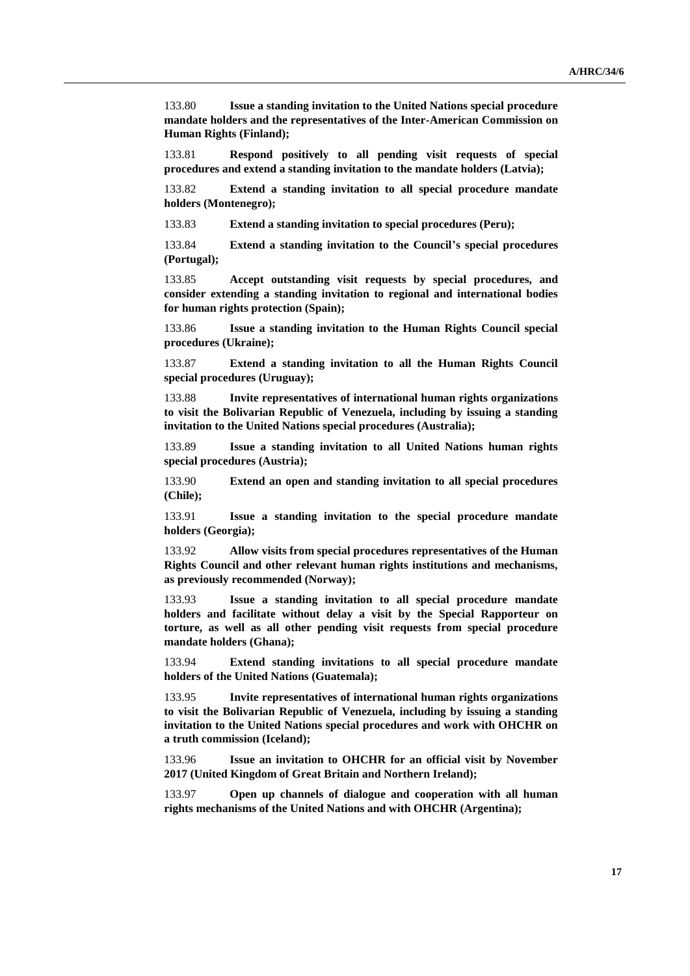133.80 **Issue a standing invitation to the United Nations special procedure mandate holders and the representatives of the Inter-American Commission on Human Rights (Finland);**

133.81 **Respond positively to all pending visit requests of special procedures and extend a standing invitation to the mandate holders (Latvia);**

133.82 **Extend a standing invitation to all special procedure mandate holders (Montenegro);**

133.83 **Extend a standing invitation to special procedures (Peru);**

133.84 **Extend a standing invitation to the Council's special procedures (Portugal);**

133.85 **Accept outstanding visit requests by special procedures, and consider extending a standing invitation to regional and international bodies for human rights protection (Spain);**

133.86 **Issue a standing invitation to the Human Rights Council special procedures (Ukraine);**

133.87 **Extend a standing invitation to all the Human Rights Council special procedures (Uruguay);**

133.88 **Invite representatives of international human rights organizations to visit the Bolivarian Republic of Venezuela, including by issuing a standing invitation to the United Nations special procedures (Australia);**

133.89 **Issue a standing invitation to all United Nations human rights special procedures (Austria);**

133.90 **Extend an open and standing invitation to all special procedures (Chile);**

133.91 **Issue a standing invitation to the special procedure mandate holders (Georgia);**

133.92 **Allow visits from special procedures representatives of the Human Rights Council and other relevant human rights institutions and mechanisms, as previously recommended (Norway);**

133.93 **Issue a standing invitation to all special procedure mandate holders and facilitate without delay a visit by the Special Rapporteur on torture, as well as all other pending visit requests from special procedure mandate holders (Ghana);**

133.94 **Extend standing invitations to all special procedure mandate holders of the United Nations (Guatemala);**

133.95 **Invite representatives of international human rights organizations to visit the Bolivarian Republic of Venezuela, including by issuing a standing invitation to the United Nations special procedures and work with OHCHR on a truth commission (Iceland);**

133.96 **Issue an invitation to OHCHR for an official visit by November 2017 (United Kingdom of Great Britain and Northern Ireland);**

133.97 **Open up channels of dialogue and cooperation with all human rights mechanisms of the United Nations and with OHCHR (Argentina);**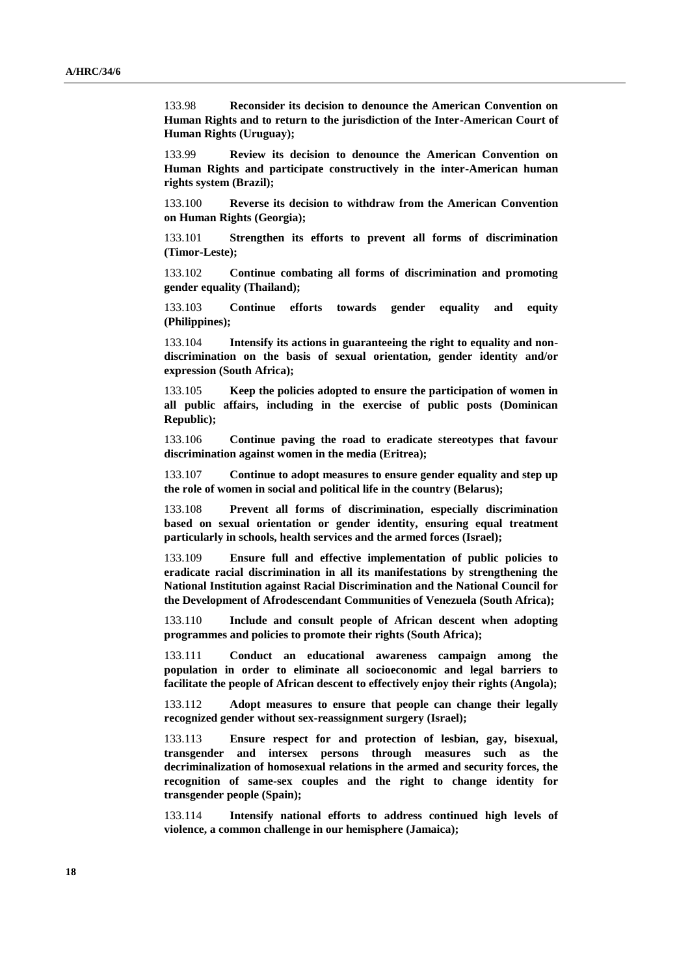133.98 **Reconsider its decision to denounce the American Convention on Human Rights and to return to the jurisdiction of the Inter-American Court of Human Rights (Uruguay);**

133.99 **Review its decision to denounce the American Convention on Human Rights and participate constructively in the inter-American human rights system (Brazil);**

133.100 **Reverse its decision to withdraw from the American Convention on Human Rights (Georgia);**

133.101 **Strengthen its efforts to prevent all forms of discrimination (Timor-Leste);**

133.102 **Continue combating all forms of discrimination and promoting gender equality (Thailand);**

133.103 **Continue efforts towards gender equality and equity (Philippines);**

133.104 **Intensify its actions in guaranteeing the right to equality and nondiscrimination on the basis of sexual orientation, gender identity and/or expression (South Africa);**

133.105 **Keep the policies adopted to ensure the participation of women in all public affairs, including in the exercise of public posts (Dominican Republic);**

133.106 **Continue paving the road to eradicate stereotypes that favour discrimination against women in the media (Eritrea);**

133.107 **Continue to adopt measures to ensure gender equality and step up the role of women in social and political life in the country (Belarus);**

133.108 **Prevent all forms of discrimination, especially discrimination based on sexual orientation or gender identity, ensuring equal treatment particularly in schools, health services and the armed forces (Israel);**

133.109 **Ensure full and effective implementation of public policies to eradicate racial discrimination in all its manifestations by strengthening the National Institution against Racial Discrimination and the National Council for the Development of Afrodescendant Communities of Venezuela (South Africa);**

133.110 **Include and consult people of African descent when adopting programmes and policies to promote their rights (South Africa);**

133.111 **Conduct an educational awareness campaign among the population in order to eliminate all socioeconomic and legal barriers to facilitate the people of African descent to effectively enjoy their rights (Angola);**

133.112 **Adopt measures to ensure that people can change their legally recognized gender without sex-reassignment surgery (Israel);**

133.113 **Ensure respect for and protection of lesbian, gay, bisexual, transgender and intersex persons through measures such as the decriminalization of homosexual relations in the armed and security forces, the recognition of same-sex couples and the right to change identity for transgender people (Spain);**

133.114 **Intensify national efforts to address continued high levels of violence, a common challenge in our hemisphere (Jamaica);**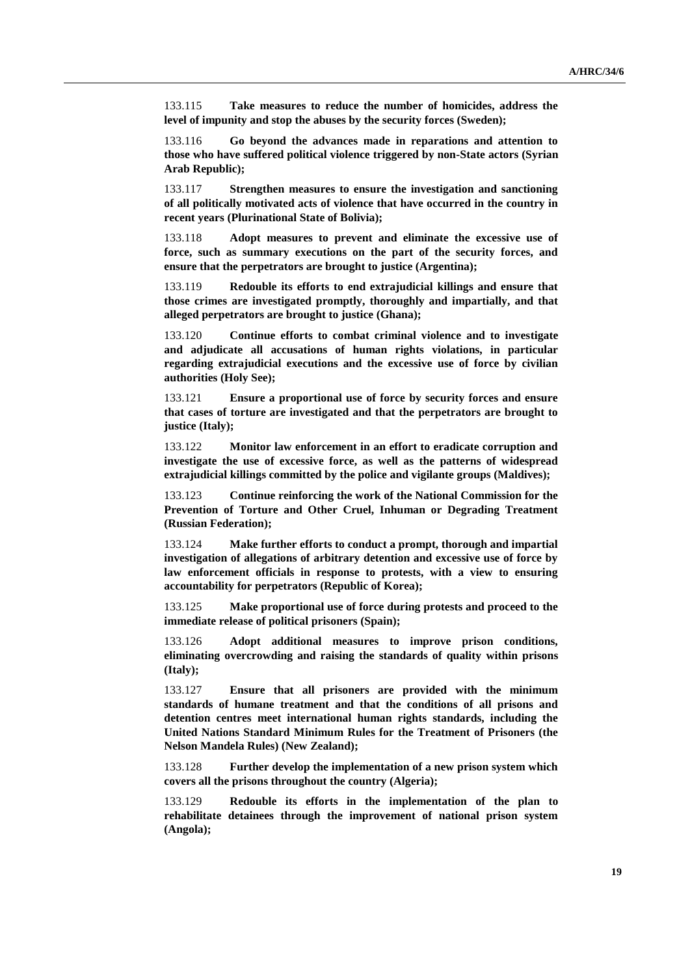133.115 **Take measures to reduce the number of homicides, address the level of impunity and stop the abuses by the security forces (Sweden);**

133.116 **Go beyond the advances made in reparations and attention to those who have suffered political violence triggered by non-State actors (Syrian Arab Republic);**

133.117 **Strengthen measures to ensure the investigation and sanctioning of all politically motivated acts of violence that have occurred in the country in recent years (Plurinational State of Bolivia);**

133.118 **Adopt measures to prevent and eliminate the excessive use of force, such as summary executions on the part of the security forces, and ensure that the perpetrators are brought to justice (Argentina);**

133.119 **Redouble its efforts to end extrajudicial killings and ensure that those crimes are investigated promptly, thoroughly and impartially, and that alleged perpetrators are brought to justice (Ghana);**

133.120 **Continue efforts to combat criminal violence and to investigate and adjudicate all accusations of human rights violations, in particular regarding extrajudicial executions and the excessive use of force by civilian authorities (Holy See);**

133.121 **Ensure a proportional use of force by security forces and ensure that cases of torture are investigated and that the perpetrators are brought to justice (Italy);**

133.122 **Monitor law enforcement in an effort to eradicate corruption and investigate the use of excessive force, as well as the patterns of widespread extrajudicial killings committed by the police and vigilante groups (Maldives);**

133.123 **Continue reinforcing the work of the National Commission for the Prevention of Torture and Other Cruel, Inhuman or Degrading Treatment (Russian Federation);**

133.124 **Make further efforts to conduct a prompt, thorough and impartial investigation of allegations of arbitrary detention and excessive use of force by law enforcement officials in response to protests, with a view to ensuring accountability for perpetrators (Republic of Korea);**

133.125 **Make proportional use of force during protests and proceed to the immediate release of political prisoners (Spain);**

133.126 **Adopt additional measures to improve prison conditions, eliminating overcrowding and raising the standards of quality within prisons (Italy);**

133.127 **Ensure that all prisoners are provided with the minimum standards of humane treatment and that the conditions of all prisons and detention centres meet international human rights standards, including the United Nations Standard Minimum Rules for the Treatment of Prisoners (the Nelson Mandela Rules) (New Zealand);**

133.128 **Further develop the implementation of a new prison system which covers all the prisons throughout the country (Algeria);**

133.129 **Redouble its efforts in the implementation of the plan to rehabilitate detainees through the improvement of national prison system (Angola);**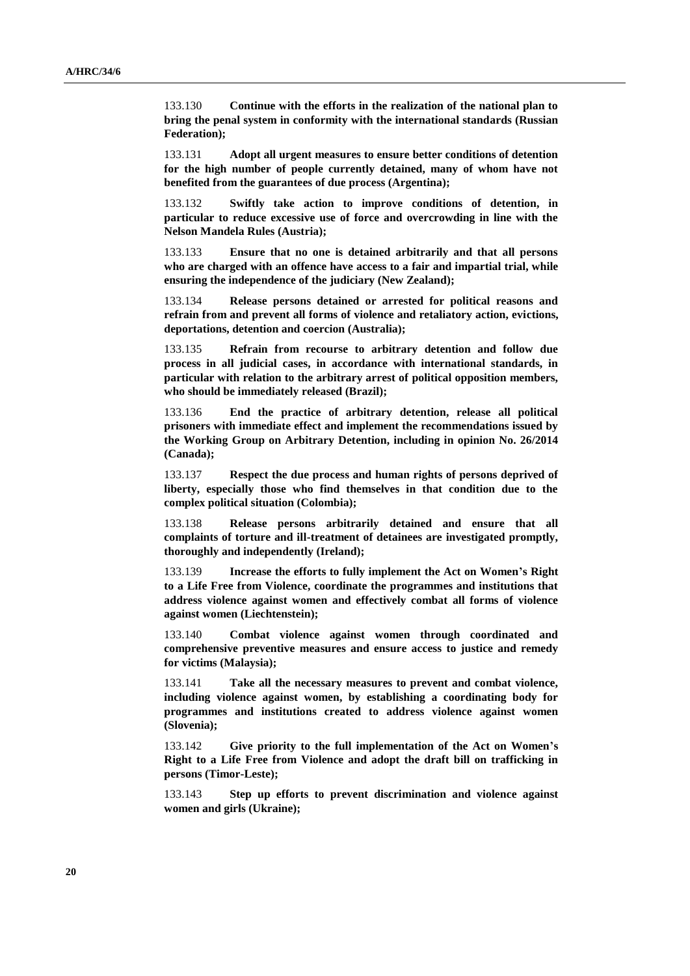133.130 **Continue with the efforts in the realization of the national plan to bring the penal system in conformity with the international standards (Russian Federation);**

133.131 **Adopt all urgent measures to ensure better conditions of detention for the high number of people currently detained, many of whom have not benefited from the guarantees of due process (Argentina);**

133.132 **Swiftly take action to improve conditions of detention, in particular to reduce excessive use of force and overcrowding in line with the Nelson Mandela Rules (Austria);**

133.133 **Ensure that no one is detained arbitrarily and that all persons who are charged with an offence have access to a fair and impartial trial, while ensuring the independence of the judiciary (New Zealand);**

133.134 **Release persons detained or arrested for political reasons and refrain from and prevent all forms of violence and retaliatory action, evictions, deportations, detention and coercion (Australia);**

133.135 **Refrain from recourse to arbitrary detention and follow due process in all judicial cases, in accordance with international standards, in particular with relation to the arbitrary arrest of political opposition members, who should be immediately released (Brazil);**

133.136 **End the practice of arbitrary detention, release all political prisoners with immediate effect and implement the recommendations issued by the Working Group on Arbitrary Detention, including in opinion No. 26/2014 (Canada);**

133.137 **Respect the due process and human rights of persons deprived of liberty, especially those who find themselves in that condition due to the complex political situation (Colombia);**

133.138 **Release persons arbitrarily detained and ensure that all complaints of torture and ill-treatment of detainees are investigated promptly, thoroughly and independently (Ireland);**

133.139 **Increase the efforts to fully implement the Act on Women's Right to a Life Free from Violence, coordinate the programmes and institutions that address violence against women and effectively combat all forms of violence against women (Liechtenstein);**

133.140 **Combat violence against women through coordinated and comprehensive preventive measures and ensure access to justice and remedy for victims (Malaysia);**

133.141 **Take all the necessary measures to prevent and combat violence, including violence against women, by establishing a coordinating body for programmes and institutions created to address violence against women (Slovenia);**

133.142 **Give priority to the full implementation of the Act on Women's Right to a Life Free from Violence and adopt the draft bill on trafficking in persons (Timor-Leste);**

133.143 **Step up efforts to prevent discrimination and violence against women and girls (Ukraine);**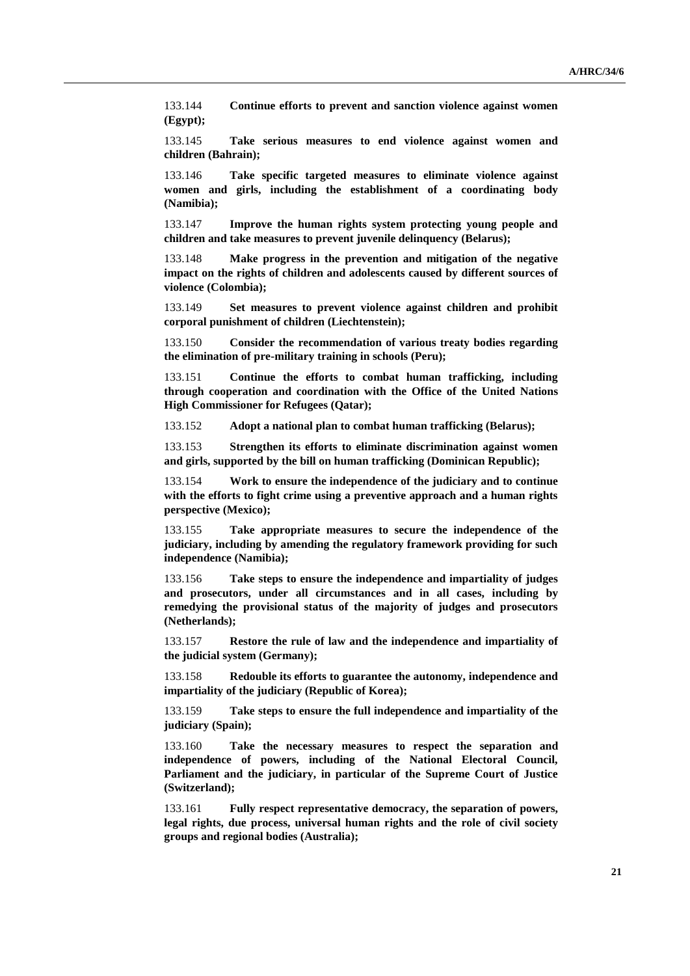133.144 **Continue efforts to prevent and sanction violence against women (Egypt);**

133.145 **Take serious measures to end violence against women and children (Bahrain);**

133.146 **Take specific targeted measures to eliminate violence against women and girls, including the establishment of a coordinating body (Namibia);**

133.147 **Improve the human rights system protecting young people and children and take measures to prevent juvenile delinquency (Belarus);**

133.148 **Make progress in the prevention and mitigation of the negative impact on the rights of children and adolescents caused by different sources of violence (Colombia);**

133.149 **Set measures to prevent violence against children and prohibit corporal punishment of children (Liechtenstein);**

133.150 **Consider the recommendation of various treaty bodies regarding the elimination of pre-military training in schools (Peru);**

133.151 **Continue the efforts to combat human trafficking, including through cooperation and coordination with the Office of the United Nations High Commissioner for Refugees (Qatar);**

133.152 **Adopt a national plan to combat human trafficking (Belarus);**

133.153 **Strengthen its efforts to eliminate discrimination against women and girls, supported by the bill on human trafficking (Dominican Republic);**

133.154 **Work to ensure the independence of the judiciary and to continue with the efforts to fight crime using a preventive approach and a human rights perspective (Mexico);**

133.155 **Take appropriate measures to secure the independence of the judiciary, including by amending the regulatory framework providing for such independence (Namibia);**

133.156 **Take steps to ensure the independence and impartiality of judges and prosecutors, under all circumstances and in all cases, including by remedying the provisional status of the majority of judges and prosecutors (Netherlands);**

133.157 **Restore the rule of law and the independence and impartiality of the judicial system (Germany);**

133.158 **Redouble its efforts to guarantee the autonomy, independence and impartiality of the judiciary (Republic of Korea);**

133.159 **Take steps to ensure the full independence and impartiality of the judiciary (Spain);**

133.160 **Take the necessary measures to respect the separation and independence of powers, including of the National Electoral Council, Parliament and the judiciary, in particular of the Supreme Court of Justice (Switzerland);**

133.161 **Fully respect representative democracy, the separation of powers, legal rights, due process, universal human rights and the role of civil society groups and regional bodies (Australia);**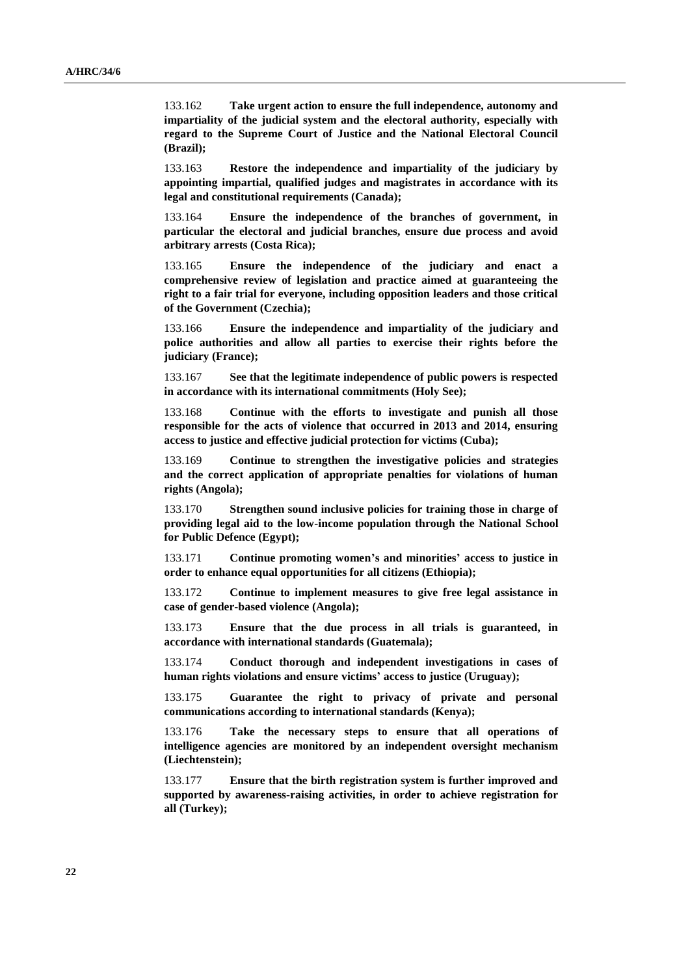133.162 **Take urgent action to ensure the full independence, autonomy and impartiality of the judicial system and the electoral authority, especially with regard to the Supreme Court of Justice and the National Electoral Council (Brazil);**

133.163 **Restore the independence and impartiality of the judiciary by appointing impartial, qualified judges and magistrates in accordance with its legal and constitutional requirements (Canada);**

133.164 **Ensure the independence of the branches of government, in particular the electoral and judicial branches, ensure due process and avoid arbitrary arrests (Costa Rica);**

133.165 **Ensure the independence of the judiciary and enact a comprehensive review of legislation and practice aimed at guaranteeing the right to a fair trial for everyone, including opposition leaders and those critical of the Government (Czechia);**

133.166 **Ensure the independence and impartiality of the judiciary and police authorities and allow all parties to exercise their rights before the judiciary (France);**

133.167 **See that the legitimate independence of public powers is respected in accordance with its international commitments (Holy See);**

133.168 **Continue with the efforts to investigate and punish all those responsible for the acts of violence that occurred in 2013 and 2014, ensuring access to justice and effective judicial protection for victims (Cuba);**

133.169 **Continue to strengthen the investigative policies and strategies and the correct application of appropriate penalties for violations of human rights (Angola);**

133.170 **Strengthen sound inclusive policies for training those in charge of providing legal aid to the low-income population through the National School for Public Defence (Egypt);**

133.171 **Continue promoting women's and minorities' access to justice in order to enhance equal opportunities for all citizens (Ethiopia);**

133.172 **Continue to implement measures to give free legal assistance in case of gender-based violence (Angola);**

133.173 **Ensure that the due process in all trials is guaranteed, in accordance with international standards (Guatemala);**

133.174 **Conduct thorough and independent investigations in cases of human rights violations and ensure victims' access to justice (Uruguay);**

133.175 **Guarantee the right to privacy of private and personal communications according to international standards (Kenya);**

133.176 **Take the necessary steps to ensure that all operations of intelligence agencies are monitored by an independent oversight mechanism (Liechtenstein);**

133.177 **Ensure that the birth registration system is further improved and supported by awareness-raising activities, in order to achieve registration for all (Turkey);**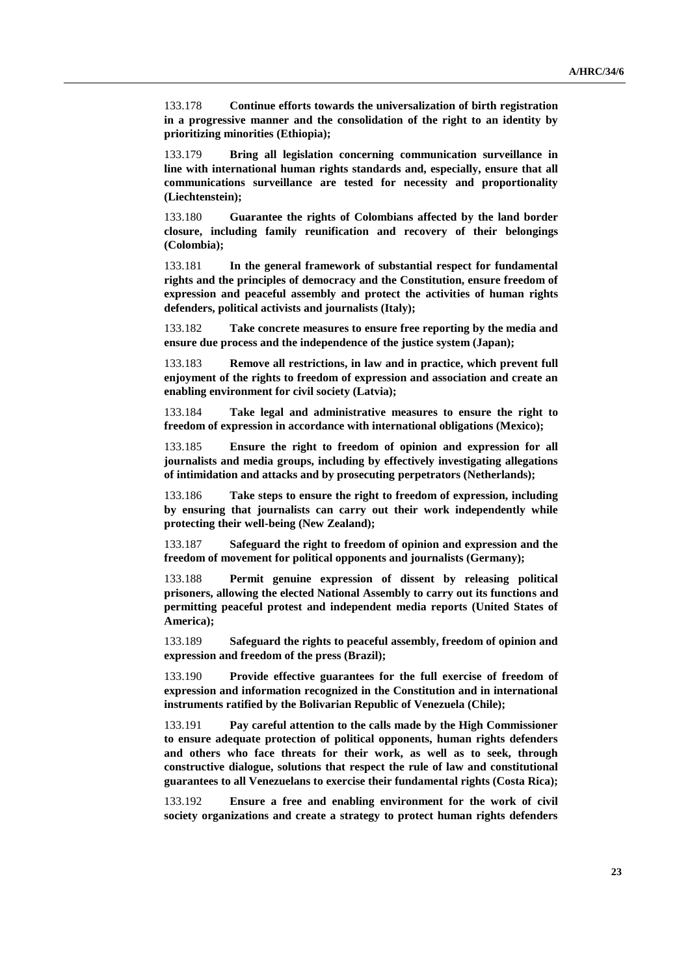133.178 **Continue efforts towards the universalization of birth registration in a progressive manner and the consolidation of the right to an identity by prioritizing minorities (Ethiopia);**

133.179 **Bring all legislation concerning communication surveillance in line with international human rights standards and, especially, ensure that all communications surveillance are tested for necessity and proportionality (Liechtenstein);**

133.180 **Guarantee the rights of Colombians affected by the land border closure, including family reunification and recovery of their belongings (Colombia);**

133.181 **In the general framework of substantial respect for fundamental rights and the principles of democracy and the Constitution, ensure freedom of expression and peaceful assembly and protect the activities of human rights defenders, political activists and journalists (Italy);**

133.182 **Take concrete measures to ensure free reporting by the media and ensure due process and the independence of the justice system (Japan);**

133.183 **Remove all restrictions, in law and in practice, which prevent full enjoyment of the rights to freedom of expression and association and create an enabling environment for civil society (Latvia);**

133.184 **Take legal and administrative measures to ensure the right to freedom of expression in accordance with international obligations (Mexico);**

133.185 **Ensure the right to freedom of opinion and expression for all journalists and media groups, including by effectively investigating allegations of intimidation and attacks and by prosecuting perpetrators (Netherlands);**

133.186 **Take steps to ensure the right to freedom of expression, including by ensuring that journalists can carry out their work independently while protecting their well-being (New Zealand);**

133.187 **Safeguard the right to freedom of opinion and expression and the freedom of movement for political opponents and journalists (Germany);**

133.188 **Permit genuine expression of dissent by releasing political prisoners, allowing the elected National Assembly to carry out its functions and permitting peaceful protest and independent media reports (United States of America);**

133.189 **Safeguard the rights to peaceful assembly, freedom of opinion and expression and freedom of the press (Brazil);**

133.190 **Provide effective guarantees for the full exercise of freedom of expression and information recognized in the Constitution and in international instruments ratified by the Bolivarian Republic of Venezuela (Chile);**

133.191 **Pay careful attention to the calls made by the High Commissioner to ensure adequate protection of political opponents, human rights defenders and others who face threats for their work, as well as to seek, through constructive dialogue, solutions that respect the rule of law and constitutional guarantees to all Venezuelans to exercise their fundamental rights (Costa Rica);**

133.192 **Ensure a free and enabling environment for the work of civil society organizations and create a strategy to protect human rights defenders**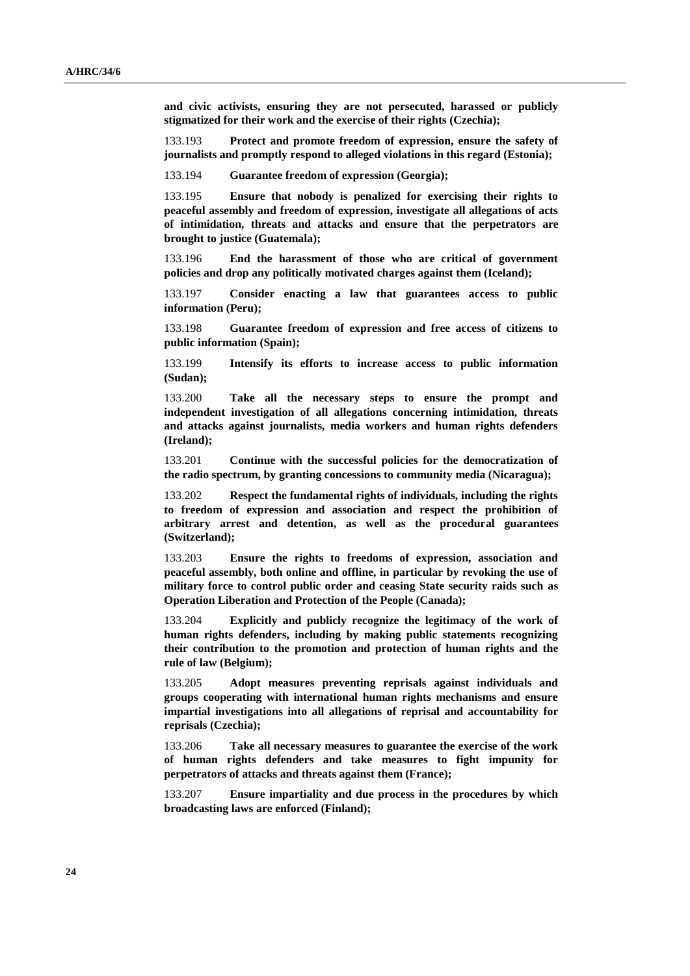**and civic activists, ensuring they are not persecuted, harassed or publicly stigmatized for their work and the exercise of their rights (Czechia);**

133.193 **Protect and promote freedom of expression, ensure the safety of journalists and promptly respond to alleged violations in this regard (Estonia);**

133.194 **Guarantee freedom of expression (Georgia);**

133.195 **Ensure that nobody is penalized for exercising their rights to peaceful assembly and freedom of expression, investigate all allegations of acts of intimidation, threats and attacks and ensure that the perpetrators are brought to justice (Guatemala);**

133.196 **End the harassment of those who are critical of government policies and drop any politically motivated charges against them (Iceland);**

133.197 **Consider enacting a law that guarantees access to public information (Peru);**

133.198 **Guarantee freedom of expression and free access of citizens to public information (Spain);**

133.199 **Intensify its efforts to increase access to public information (Sudan);**

133.200 **Take all the necessary steps to ensure the prompt and independent investigation of all allegations concerning intimidation, threats and attacks against journalists, media workers and human rights defenders (Ireland);**

133.201 **Continue with the successful policies for the democratization of the radio spectrum, by granting concessions to community media (Nicaragua);**

133.202 **Respect the fundamental rights of individuals, including the rights to freedom of expression and association and respect the prohibition of arbitrary arrest and detention, as well as the procedural guarantees (Switzerland);**

133.203 **Ensure the rights to freedoms of expression, association and peaceful assembly, both online and offline, in particular by revoking the use of military force to control public order and ceasing State security raids such as Operation Liberation and Protection of the People (Canada);**

133.204 **Explicitly and publicly recognize the legitimacy of the work of human rights defenders, including by making public statements recognizing their contribution to the promotion and protection of human rights and the rule of law (Belgium);**

133.205 **Adopt measures preventing reprisals against individuals and groups cooperating with international human rights mechanisms and ensure impartial investigations into all allegations of reprisal and accountability for reprisals (Czechia);**

133.206 **Take all necessary measures to guarantee the exercise of the work of human rights defenders and take measures to fight impunity for perpetrators of attacks and threats against them (France);**

133.207 **Ensure impartiality and due process in the procedures by which broadcasting laws are enforced (Finland);**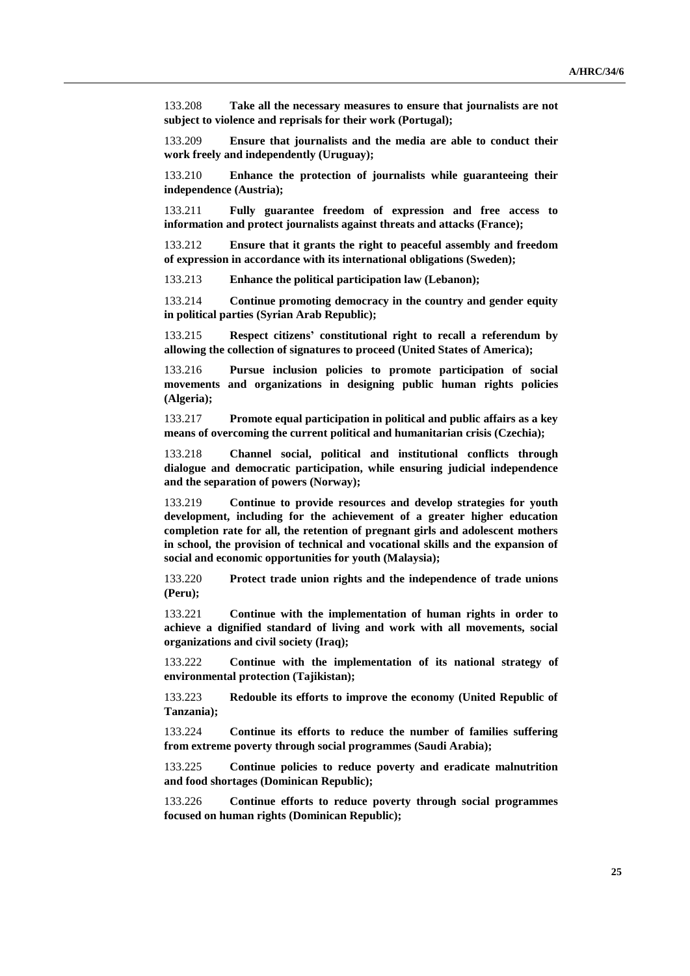133.208 **Take all the necessary measures to ensure that journalists are not subject to violence and reprisals for their work (Portugal);**

133.209 **Ensure that journalists and the media are able to conduct their work freely and independently (Uruguay);**

133.210 **Enhance the protection of journalists while guaranteeing their independence (Austria);**

133.211 **Fully guarantee freedom of expression and free access to information and protect journalists against threats and attacks (France);**

133.212 **Ensure that it grants the right to peaceful assembly and freedom of expression in accordance with its international obligations (Sweden);**

133.213 **Enhance the political participation law (Lebanon);**

133.214 **Continue promoting democracy in the country and gender equity in political parties (Syrian Arab Republic);**

133.215 **Respect citizens' constitutional right to recall a referendum by allowing the collection of signatures to proceed (United States of America);**

133.216 **Pursue inclusion policies to promote participation of social movements and organizations in designing public human rights policies (Algeria);**

133.217 **Promote equal participation in political and public affairs as a key means of overcoming the current political and humanitarian crisis (Czechia);**

133.218 **Channel social, political and institutional conflicts through dialogue and democratic participation, while ensuring judicial independence and the separation of powers (Norway);**

133.219 **Continue to provide resources and develop strategies for youth development, including for the achievement of a greater higher education completion rate for all, the retention of pregnant girls and adolescent mothers in school, the provision of technical and vocational skills and the expansion of social and economic opportunities for youth (Malaysia);**

133.220 **Protect trade union rights and the independence of trade unions (Peru);**

133.221 **Continue with the implementation of human rights in order to achieve a dignified standard of living and work with all movements, social organizations and civil society (Iraq);**

133.222 **Continue with the implementation of its national strategy of environmental protection (Tajikistan);**

133.223 **Redouble its efforts to improve the economy (United Republic of Tanzania);**

133.224 **Continue its efforts to reduce the number of families suffering from extreme poverty through social programmes (Saudi Arabia);**

133.225 **Continue policies to reduce poverty and eradicate malnutrition and food shortages (Dominican Republic);**

133.226 **Continue efforts to reduce poverty through social programmes focused on human rights (Dominican Republic);**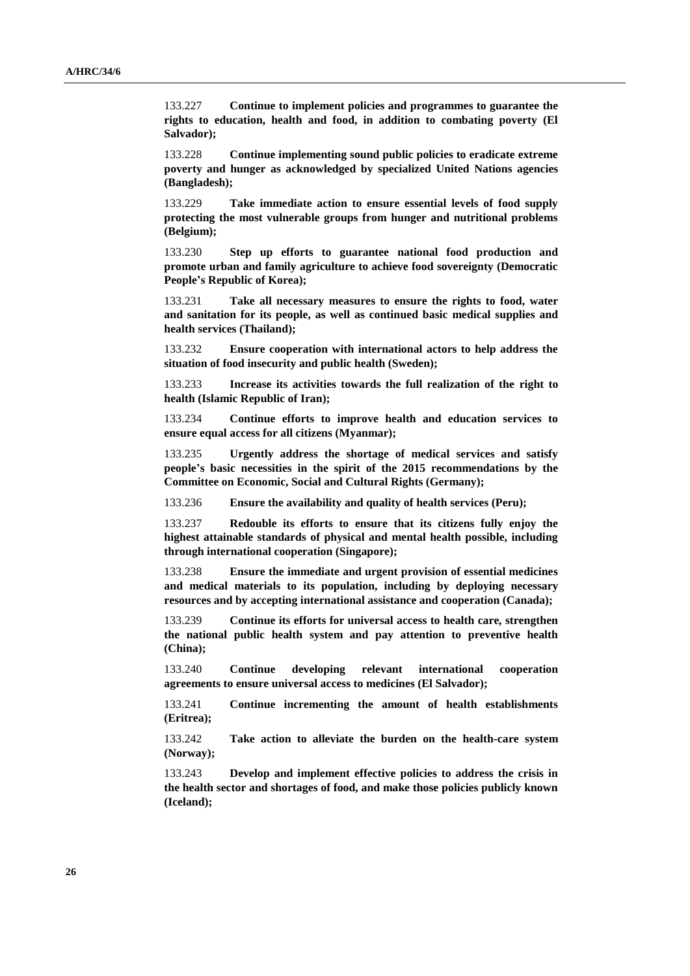133.227 **Continue to implement policies and programmes to guarantee the rights to education, health and food, in addition to combating poverty (El Salvador);**

133.228 **Continue implementing sound public policies to eradicate extreme poverty and hunger as acknowledged by specialized United Nations agencies (Bangladesh);**

133.229 **Take immediate action to ensure essential levels of food supply protecting the most vulnerable groups from hunger and nutritional problems (Belgium);**

133.230 **Step up efforts to guarantee national food production and promote urban and family agriculture to achieve food sovereignty (Democratic People's Republic of Korea);**

133.231 **Take all necessary measures to ensure the rights to food, water and sanitation for its people, as well as continued basic medical supplies and health services (Thailand);**

133.232 **Ensure cooperation with international actors to help address the situation of food insecurity and public health (Sweden);**

133.233 **Increase its activities towards the full realization of the right to health (Islamic Republic of Iran);**

133.234 **Continue efforts to improve health and education services to ensure equal access for all citizens (Myanmar);**

133.235 **Urgently address the shortage of medical services and satisfy people's basic necessities in the spirit of the 2015 recommendations by the Committee on Economic, Social and Cultural Rights (Germany);**

133.236 **Ensure the availability and quality of health services (Peru);**

133.237 **Redouble its efforts to ensure that its citizens fully enjoy the highest attainable standards of physical and mental health possible, including through international cooperation (Singapore);**

133.238 **Ensure the immediate and urgent provision of essential medicines and medical materials to its population, including by deploying necessary resources and by accepting international assistance and cooperation (Canada);**

133.239 **Continue its efforts for universal access to health care, strengthen the national public health system and pay attention to preventive health (China);**

133.240 **Continue developing relevant international cooperation agreements to ensure universal access to medicines (El Salvador);**

133.241 **Continue incrementing the amount of health establishments (Eritrea);**

133.242 **Take action to alleviate the burden on the health-care system (Norway);**

133.243 **Develop and implement effective policies to address the crisis in the health sector and shortages of food, and make those policies publicly known (Iceland);**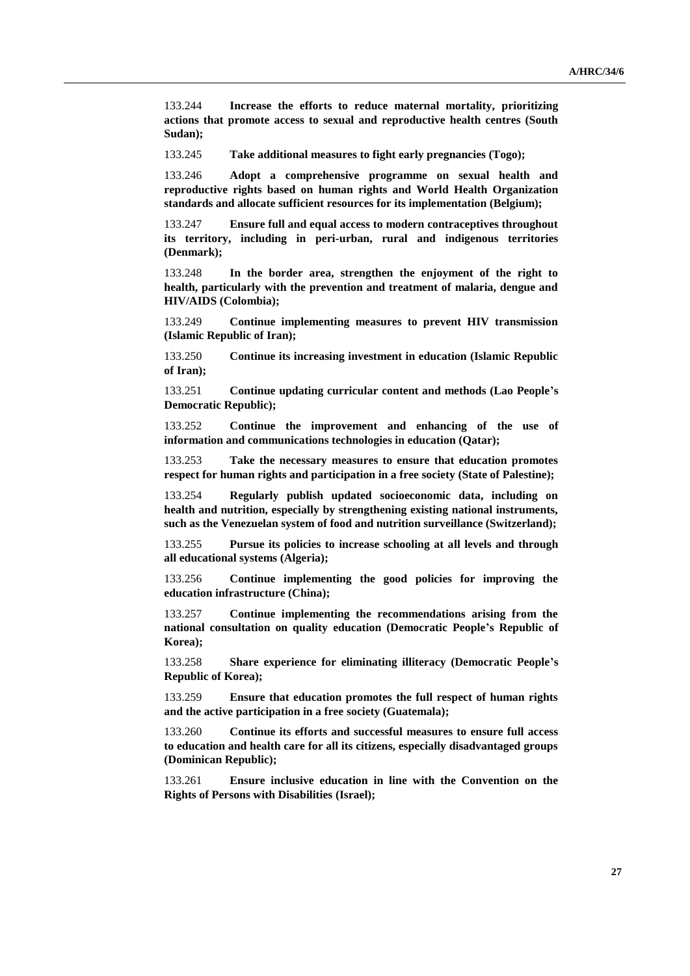133.244 **Increase the efforts to reduce maternal mortality, prioritizing actions that promote access to sexual and reproductive health centres (South Sudan);**

133.245 **Take additional measures to fight early pregnancies (Togo);**

133.246 **Adopt a comprehensive programme on sexual health and reproductive rights based on human rights and World Health Organization standards and allocate sufficient resources for its implementation (Belgium);**

133.247 **Ensure full and equal access to modern contraceptives throughout its territory, including in peri-urban, rural and indigenous territories (Denmark);**

133.248 **In the border area, strengthen the enjoyment of the right to health, particularly with the prevention and treatment of malaria, dengue and HIV/AIDS (Colombia);**

133.249 **Continue implementing measures to prevent HIV transmission (Islamic Republic of Iran);**

133.250 **Continue its increasing investment in education (Islamic Republic of Iran);**

133.251 **Continue updating curricular content and methods (Lao People's Democratic Republic);**

133.252 **Continue the improvement and enhancing of the use of information and communications technologies in education (Qatar);**

133.253 **Take the necessary measures to ensure that education promotes respect for human rights and participation in a free society (State of Palestine);**

133.254 **Regularly publish updated socioeconomic data, including on health and nutrition, especially by strengthening existing national instruments, such as the Venezuelan system of food and nutrition surveillance (Switzerland);**

133.255 **Pursue its policies to increase schooling at all levels and through all educational systems (Algeria);**

133.256 **Continue implementing the good policies for improving the education infrastructure (China);**

133.257 **Continue implementing the recommendations arising from the national consultation on quality education (Democratic People's Republic of Korea);**

133.258 **Share experience for eliminating illiteracy (Democratic People's Republic of Korea);**

133.259 **Ensure that education promotes the full respect of human rights and the active participation in a free society (Guatemala);**

133.260 **Continue its efforts and successful measures to ensure full access to education and health care for all its citizens, especially disadvantaged groups (Dominican Republic);**

133.261 **Ensure inclusive education in line with the Convention on the Rights of Persons with Disabilities (Israel);**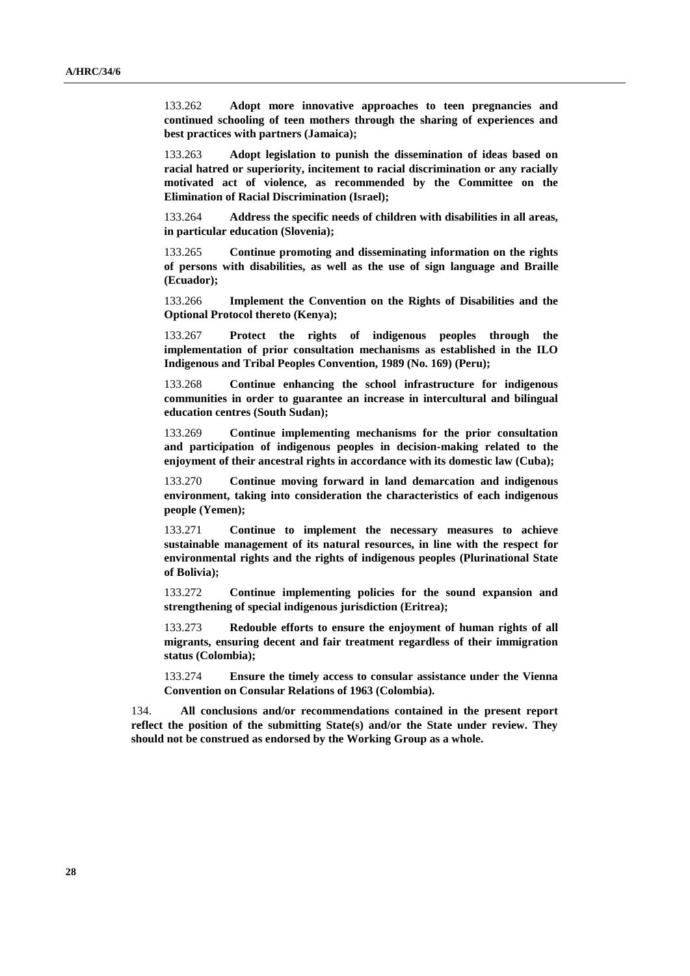133.262 **Adopt more innovative approaches to teen pregnancies and continued schooling of teen mothers through the sharing of experiences and best practices with partners (Jamaica);**

133.263 **Adopt legislation to punish the dissemination of ideas based on racial hatred or superiority, incitement to racial discrimination or any racially motivated act of violence, as recommended by the Committee on the Elimination of Racial Discrimination (Israel);**

133.264 **Address the specific needs of children with disabilities in all areas, in particular education (Slovenia);**

133.265 **Continue promoting and disseminating information on the rights of persons with disabilities, as well as the use of sign language and Braille (Ecuador);**

133.266 **Implement the Convention on the Rights of Disabilities and the Optional Protocol thereto (Kenya);**

133.267 **Protect the rights of indigenous peoples through the implementation of prior consultation mechanisms as established in the ILO Indigenous and Tribal Peoples Convention, 1989 (No. 169) (Peru);**

133.268 **Continue enhancing the school infrastructure for indigenous communities in order to guarantee an increase in intercultural and bilingual education centres (South Sudan);**

133.269 **Continue implementing mechanisms for the prior consultation and participation of indigenous peoples in decision-making related to the enjoyment of their ancestral rights in accordance with its domestic law (Cuba);**

133.270 **Continue moving forward in land demarcation and indigenous environment, taking into consideration the characteristics of each indigenous people (Yemen);**

133.271 **Continue to implement the necessary measures to achieve sustainable management of its natural resources, in line with the respect for environmental rights and the rights of indigenous peoples (Plurinational State of Bolivia);**

133.272 **Continue implementing policies for the sound expansion and strengthening of special indigenous jurisdiction (Eritrea);**

133.273 **Redouble efforts to ensure the enjoyment of human rights of all migrants, ensuring decent and fair treatment regardless of their immigration status (Colombia);**

133.274 **Ensure the timely access to consular assistance under the Vienna Convention on Consular Relations of 1963 (Colombia).**

134. **All conclusions and/or recommendations contained in the present report reflect the position of the submitting State(s) and/or the State under review. They should not be construed as endorsed by the Working Group as a whole.**